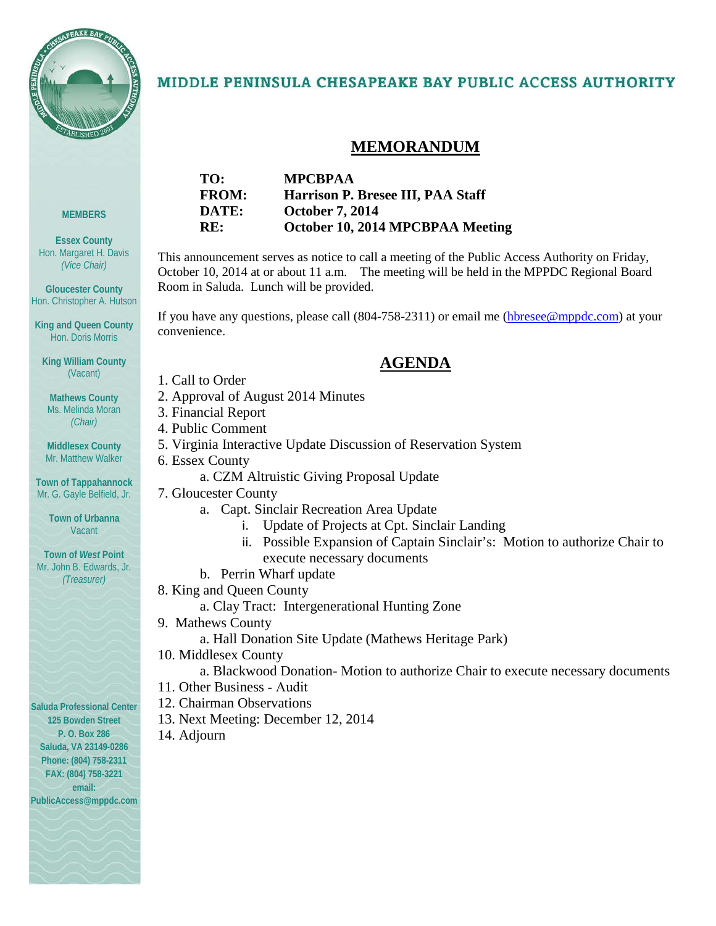

**MEMBERS**

**Essex County** Hon. Margaret H. Davis *(Vice Chair)*

**Gloucester County** Hon. Christopher A. Hutson

**King and Queen County** Hon. Doris Morris

**King William County** (Vacant)

**Mathews County** Ms. Melinda Moran *(Chair)*

### MIDDLE PENINSULA CHESAPEAKE BAY PUBLIC ACCESS AUTHORITY

### **MEMORANDUM**

| TO:          | <b>MPCBPAA</b>                    |
|--------------|-----------------------------------|
| <b>FROM:</b> | Harrison P. Bresee III, PAA Staff |
| DATE:        | <b>October 7, 2014</b>            |
| RE:          | October 10, 2014 MPCBPAA Meeting  |

This announcement serves as notice to call a meeting of the Public Access Authority on Friday, October 10, 2014 at or about 11 a.m. The meeting will be held in the MPPDC Regional Board Room in Saluda. Lunch will be provided.

If you have any questions, please call (804-758-2311) or email me [\(hbresee@mppdc.com\)](mailto:hbresee@mppdc.com) at your convenience.

### **AGENDA**

- 1. Call to Order
- 2. Approval of August 2014 Minutes
- 3. Financial Report
- 4. Public Comment

6. Essex County

5. Virginia Interactive Update Discussion of Reservation System

Mr. Matthew Walker

**Middlesex County**

**Town of Tappahannock** Mr. G. Gayle Belfield, Jr.

> **Town of Urbanna Vacant**

**Town of** *West* **Point** Mr. John B. Edwards, Jr. *(Treasurer)*

**Saluda Professional Center 125 Bowden Street P. O. Box 286 Saluda, VA 23149-0286 Phone: (804) 758-2311 FAX: (804) 758-3221 email:** 

**PublicAccess@mppdc.com** 



a. CZM Altruistic Giving Proposal Update

- i. Update of Projects at Cpt. Sinclair Landing
- ii. Possible Expansion of Captain Sinclair's: Motion to authorize Chair to
- execute necessary documents
- b. Perrin Wharf update
- 8. King and Queen County
	- a. Clay Tract: Intergenerational Hunting Zone
- 9. Mathews County
	- a. Hall Donation Site Update (Mathews Heritage Park)
- 10. Middlesex County
	- a. Blackwood Donation- Motion to authorize Chair to execute necessary documents
- 11. Other Business Audit
- 12. Chairman Observations
- 13. Next Meeting: December 12, 2014
- 14. Adjourn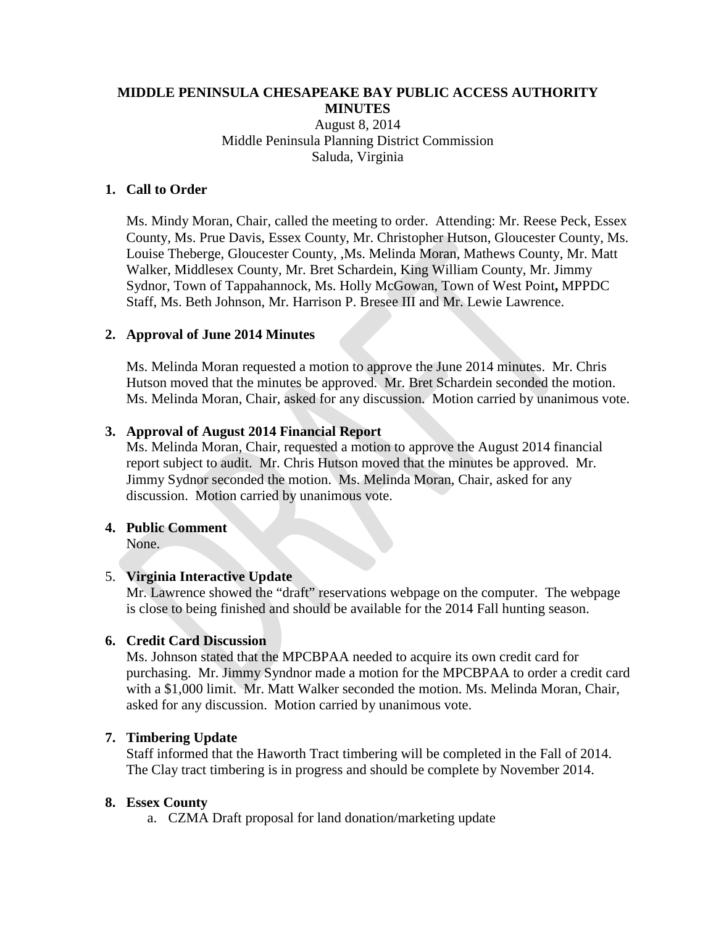### **MIDDLE PENINSULA CHESAPEAKE BAY PUBLIC ACCESS AUTHORITY MINUTES** August 8, 2014 Middle Peninsula Planning District Commission Saluda, Virginia

#### **1. Call to Order**

Ms. Mindy Moran, Chair, called the meeting to order. Attending: Mr. Reese Peck, Essex County, Ms. Prue Davis, Essex County, Mr. Christopher Hutson, Gloucester County, Ms. Louise Theberge, Gloucester County, ,Ms. Melinda Moran, Mathews County, Mr. Matt Walker, Middlesex County, Mr. Bret Schardein, King William County, Mr. Jimmy Sydnor, Town of Tappahannock, Ms. Holly McGowan, Town of West Point**,** MPPDC Staff, Ms. Beth Johnson, Mr. Harrison P. Bresee III and Mr. Lewie Lawrence.

#### **2. Approval of June 2014 Minutes**

Ms. Melinda Moran requested a motion to approve the June 2014 minutes. Mr. Chris Hutson moved that the minutes be approved. Mr. Bret Schardein seconded the motion. Ms. Melinda Moran, Chair, asked for any discussion. Motion carried by unanimous vote.

#### **3. Approval of August 2014 Financial Report**

Ms. Melinda Moran, Chair, requested a motion to approve the August 2014 financial report subject to audit. Mr. Chris Hutson moved that the minutes be approved. Mr. Jimmy Sydnor seconded the motion. Ms. Melinda Moran, Chair, asked for any discussion. Motion carried by unanimous vote.

#### **4. Public Comment**

None.

#### 5. **Virginia Interactive Update**

Mr. Lawrence showed the "draft" reservations webpage on the computer. The webpage is close to being finished and should be available for the 2014 Fall hunting season.

#### **6. Credit Card Discussion**

Ms. Johnson stated that the MPCBPAA needed to acquire its own credit card for purchasing. Mr. Jimmy Syndnor made a motion for the MPCBPAA to order a credit card with a \$1,000 limit. Mr. Matt Walker seconded the motion. Ms. Melinda Moran, Chair, asked for any discussion. Motion carried by unanimous vote.

#### **7. Timbering Update**

Staff informed that the Haworth Tract timbering will be completed in the Fall of 2014. The Clay tract timbering is in progress and should be complete by November 2014.

#### **8. Essex County**

a. CZMA Draft proposal for land donation/marketing update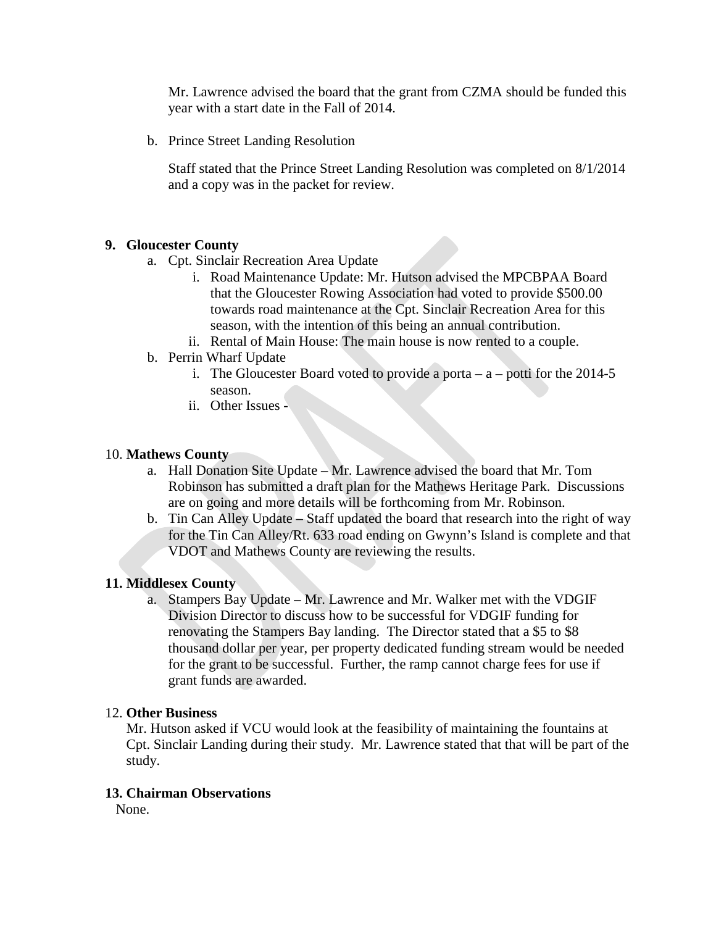Mr. Lawrence advised the board that the grant from CZMA should be funded this year with a start date in the Fall of 2014.

b. Prince Street Landing Resolution

Staff stated that the Prince Street Landing Resolution was completed on 8/1/2014 and a copy was in the packet for review.

### **9. Gloucester County**

- a. Cpt. Sinclair Recreation Area Update
	- i. Road Maintenance Update: Mr. Hutson advised the MPCBPAA Board that the Gloucester Rowing Association had voted to provide \$500.00 towards road maintenance at the Cpt. Sinclair Recreation Area for this season, with the intention of this being an annual contribution.
	- ii. Rental of Main House: The main house is now rented to a couple.
- b. Perrin Wharf Update
	- i. The Gloucester Board voted to provide a porta  $-$  a  $-$  potti for the 2014-5 season.
	- ii. Other Issues -

#### 10. **Mathews County**

- a. Hall Donation Site Update Mr. Lawrence advised the board that Mr. Tom Robinson has submitted a draft plan for the Mathews Heritage Park. Discussions are on going and more details will be forthcoming from Mr. Robinson.
- b. Tin Can Alley Update Staff updated the board that research into the right of way for the Tin Can Alley/Rt. 633 road ending on Gwynn's Island is complete and that VDOT and Mathews County are reviewing the results.

#### **11. Middlesex County**

a. Stampers Bay Update – Mr. Lawrence and Mr. Walker met with the VDGIF Division Director to discuss how to be successful for VDGIF funding for renovating the Stampers Bay landing. The Director stated that a \$5 to \$8 thousand dollar per year, per property dedicated funding stream would be needed for the grant to be successful. Further, the ramp cannot charge fees for use if grant funds are awarded.

#### 12. **Other Business**

Mr. Hutson asked if VCU would look at the feasibility of maintaining the fountains at Cpt. Sinclair Landing during their study. Mr. Lawrence stated that that will be part of the study.

#### **13. Chairman Observations**

None.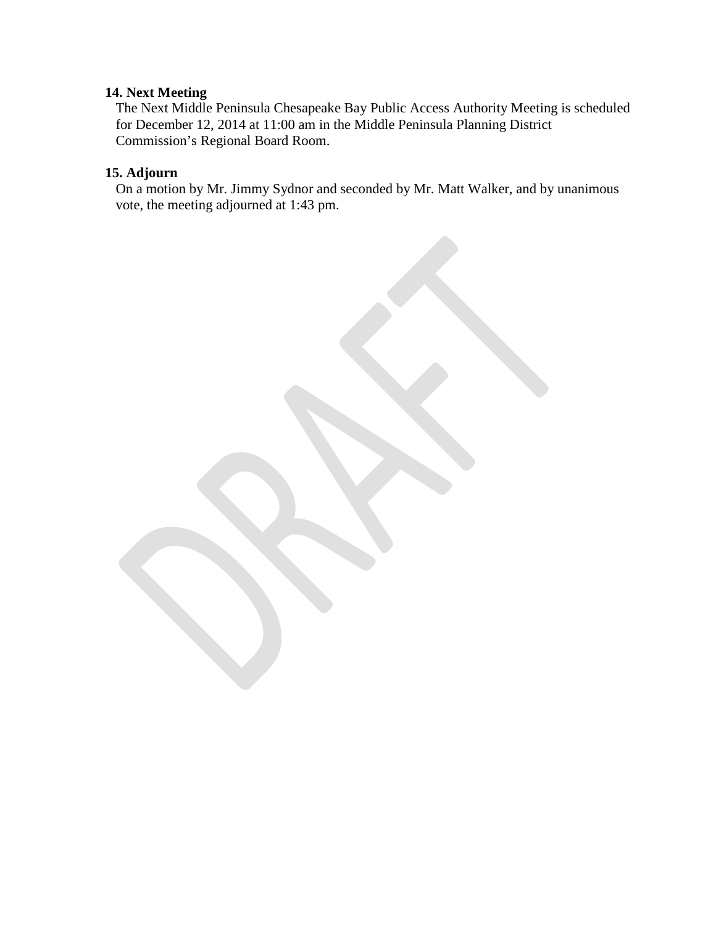### **14. Next Meeting**

The Next Middle Peninsula Chesapeake Bay Public Access Authority Meeting is scheduled for December 12, 2014 at 11:00 am in the Middle Peninsula Planning District Commission's Regional Board Room.

### **15. Adjourn**

On a motion by Mr. Jimmy Sydnor and seconded by Mr. Matt Walker, and by unanimous vote, the meeting adjourned at 1:43 pm.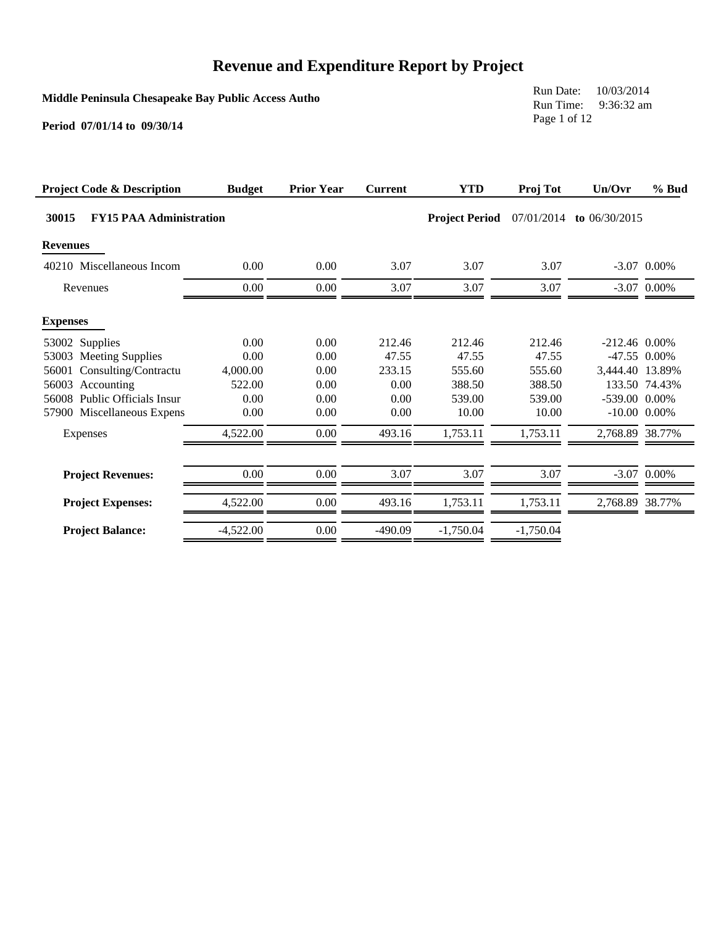**Middle Peninsula Chesapeake Bay Public Access Autho**

Run Date: 10/03/2014 Run Time: 9:36:32 am Page 1 of 12

| <b>Project Code &amp; Description</b>   | <b>Budget</b> | <b>Prior Year</b> | <b>Current</b> | <b>YTD</b>            | Proj Tot    | Un/Ovr            | $%$ Bud       |
|-----------------------------------------|---------------|-------------------|----------------|-----------------------|-------------|-------------------|---------------|
| 30015<br><b>FY15 PAA Administration</b> |               |                   |                | <b>Project Period</b> | 07/01/2014  | to $06/30/2015$   |               |
| <b>Revenues</b>                         |               |                   |                |                       |             |                   |               |
| 40210 Miscellaneous Incom               | 0.00          | 0.00              | 3.07           | 3.07                  | 3.07        |                   | $-3.07$ 0.00% |
| Revenues                                | 0.00          | 0.00              | 3.07           | 3.07                  | 3.07        |                   | $-3.07$ 0.00% |
| <b>Expenses</b>                         |               |                   |                |                       |             |                   |               |
| 53002 Supplies                          | 0.00          | 0.00              | 212.46         | 212.46                | 212.46      | $-212.46$ 0.00%   |               |
| 53003 Meeting Supplies                  | 0.00          | 0.00              | 47.55          | 47.55                 | 47.55       |                   | -47.55 0.00%  |
| Consulting/Contractu<br>56001           | 4,000.00      | 0.00              | 233.15         | 555.60                | 555.60      | 3,444.40 13.89%   |               |
| 56003 Accounting                        | 522.00        | 0.00              | 0.00           | 388.50                | 388.50      |                   | 133.50 74.43% |
| 56008 Public Officials Insur            | 0.00          | 0.00              | 0.00           | 539.00                | 539.00      | $-539.00$ 0.00%   |               |
| 57900 Miscellaneous Expens              | 0.00          | 0.00              | 0.00           | 10.00                 | 10.00       | $-10.00$ $0.00\%$ |               |
| Expenses                                | 4,522.00      | 0.00              | 493.16         | 1,753.11              | 1,753.11    | 2,768.89 38.77%   |               |
|                                         |               |                   |                |                       |             |                   |               |
| <b>Project Revenues:</b>                | 0.00          | 0.00              | 3.07           | 3.07                  | 3.07        |                   | $-3.07$ 0.00% |
| <b>Project Expenses:</b>                | 4,522.00      | 0.00              | 493.16         | 1,753.11              | 1,753.11    | 2,768.89 38.77%   |               |
| <b>Project Balance:</b>                 | $-4,522.00$   | 0.00              | $-490.09$      | $-1,750.04$           | $-1,750.04$ |                   |               |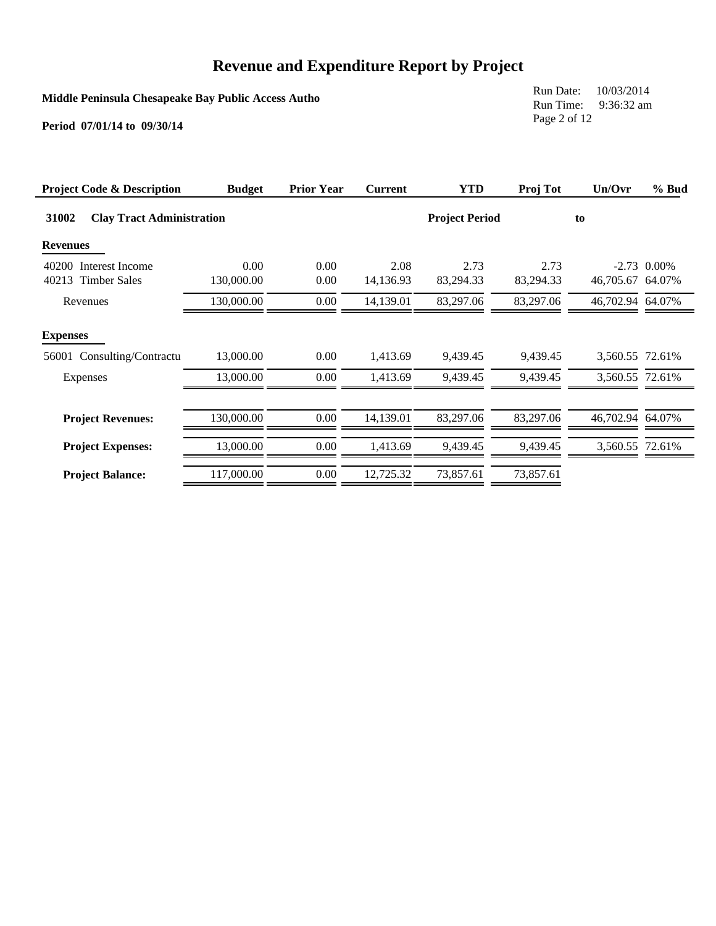**Middle Peninsula Chesapeake Bay Public Access Autho**

Run Date: 10/03/2014 Run Time: 9:36:32 am Page 2 of 12

| <b>Project Code &amp; Description</b>                 | <b>Budget</b>      | <b>Prior Year</b> | <b>Current</b>    | <b>YTD</b>            | Proj Tot          | Un/Ovr           | $%$ Bud       |
|-------------------------------------------------------|--------------------|-------------------|-------------------|-----------------------|-------------------|------------------|---------------|
| 31002<br><b>Clay Tract Administration</b>             |                    |                   |                   | <b>Project Period</b> |                   | to               |               |
| <b>Revenues</b>                                       |                    |                   |                   |                       |                   |                  |               |
| 40200 Interest Income<br><b>Timber Sales</b><br>40213 | 0.00<br>130,000.00 | 0.00<br>0.00      | 2.08<br>14,136.93 | 2.73<br>83,294.33     | 2.73<br>83,294.33 | 46,705.67 64.07% | $-2.73$ 0.00% |
| Revenues                                              | 130,000.00         | 0.00              | 14,139.01         | 83,297.06             | 83,297.06         | 46,702.94 64.07% |               |
| <b>Expenses</b>                                       |                    |                   |                   |                       |                   |                  |               |
| 56001 Consulting/Contractu                            | 13,000.00          | 0.00              | 1,413.69          | 9,439.45              | 9,439.45          | 3,560.55 72.61%  |               |
| Expenses                                              | 13,000.00          | 0.00              | 1.413.69          | 9.439.45              | 9.439.45          | 3.560.55 72.61%  |               |
| <b>Project Revenues:</b>                              | 130,000.00         | 0.00              | 14,139.01         | 83,297.06             | 83,297.06         | 46,702.94 64.07% |               |
| <b>Project Expenses:</b>                              | 13,000.00          | 0.00              | 1.413.69          | 9.439.45              | 9,439.45          | 3,560.55 72.61%  |               |
| <b>Project Balance:</b>                               | 117,000.00         | 0.00              | 12,725.32         | 73,857.61             | 73,857.61         |                  |               |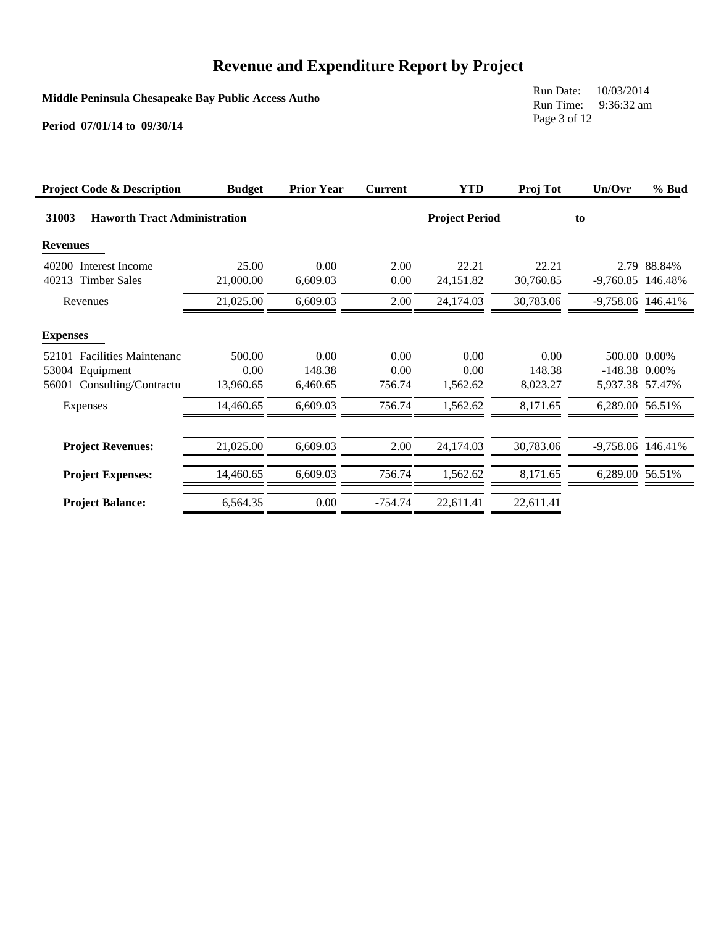**Middle Peninsula Chesapeake Bay Public Access Autho**

Run Date: 10/03/2014 Run Time: 9:36:32 am Page 3 of 12

| <b>Project Code &amp; Description</b>                                        | <b>Budget</b>               | <b>Prior Year</b>          | <b>Current</b>         | <b>YTD</b>               | Proj Tot                   | Un/Ovr                             | % Bud        |
|------------------------------------------------------------------------------|-----------------------------|----------------------------|------------------------|--------------------------|----------------------------|------------------------------------|--------------|
| <b>Haworth Tract Administration</b><br>31003                                 |                             |                            |                        | <b>Project Period</b>    |                            | to                                 |              |
| <b>Revenues</b>                                                              |                             |                            |                        |                          |                            |                                    |              |
| 40200 Interest Income<br><b>Timber Sales</b><br>40213                        | 25.00<br>21,000.00          | 0.00<br>6,609.03           | 2.00<br>0.00           | 22.21<br>24,151.82       | 22.21<br>30,760.85         | -9,760.85 146.48%                  | 2.79 88.84%  |
| Revenues                                                                     | 21,025.00                   | 6,609.03                   | 2.00                   | 24,174.03                | 30,783.06                  | -9,758.06 146.41%                  |              |
| <b>Expenses</b>                                                              |                             |                            |                        |                          |                            |                                    |              |
| 52101 Facilities Maintenanc<br>53004 Equipment<br>56001 Consulting/Contractu | 500.00<br>0.00<br>13,960.65 | 0.00<br>148.38<br>6,460.65 | 0.00<br>0.00<br>756.74 | 0.00<br>0.00<br>1,562.62 | 0.00<br>148.38<br>8,023.27 | $-148.38$ 0.00%<br>5,937.38 57.47% | 500.00 0.00% |
| Expenses                                                                     | 14,460.65                   | 6,609.03                   | 756.74                 | 1,562.62                 | 8,171.65                   | 6,289.00 56.51%                    |              |
| <b>Project Revenues:</b>                                                     | 21,025.00                   | 6,609.03                   | 2.00                   | 24,174.03                | 30,783.06                  | -9,758.06 146.41%                  |              |
| <b>Project Expenses:</b>                                                     | 14,460.65                   | 6,609.03                   | 756.74                 | 1,562.62                 | 8,171.65                   | 6,289.00 56.51%                    |              |
| <b>Project Balance:</b>                                                      | 6,564.35                    | 0.00                       | -754.74                | 22,611.41                | 22,611.41                  |                                    |              |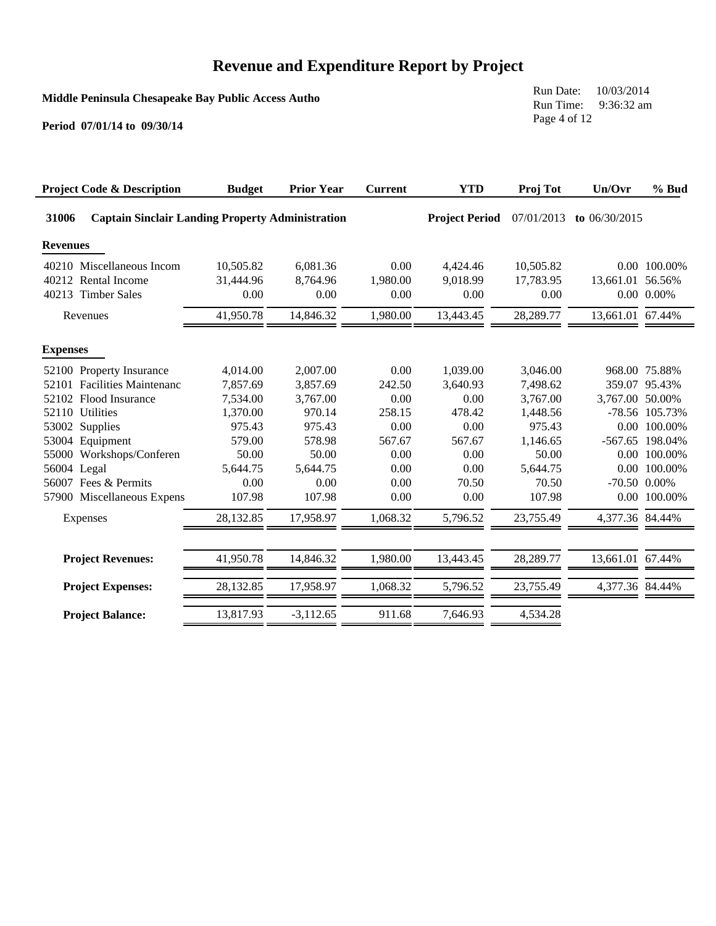**Middle Peninsula Chesapeake Bay Public Access Autho**

Run Date: 10/03/2014 Run Time: 9:36:32 am Page 4 of 12

| <b>Project Code &amp; Description</b>                            | <b>Budget</b> | <b>Prior Year</b> | <b>Current</b> | <b>YTD</b>            | Proj Tot   | Un/Ovr            | % Bud          |
|------------------------------------------------------------------|---------------|-------------------|----------------|-----------------------|------------|-------------------|----------------|
| 31006<br><b>Captain Sinclair Landing Property Administration</b> |               |                   |                | <b>Project Period</b> | 07/01/2013 | to $06/30/2015$   |                |
| <b>Revenues</b>                                                  |               |                   |                |                       |            |                   |                |
| 40210 Miscellaneous Incom                                        | 10,505.82     | 6,081.36          | 0.00           | 4,424.46              | 10,505.82  |                   | 0.00 100.00%   |
| 40212 Rental Income                                              | 31.444.96     | 8.764.96          | 1,980.00       | 9,018.99              | 17.783.95  | 13,661.01 56.56%  |                |
| 40213 Timber Sales                                               | 0.00          | 0.00              | 0.00           | 0.00                  | 0.00       |                   | $0.00\ 0.00\%$ |
| Revenues                                                         | 41,950.78     | 14,846.32         | 1,980.00       | 13,443.45             | 28,289.77  | 13,661.01 67.44%  |                |
| <b>Expenses</b>                                                  |               |                   |                |                       |            |                   |                |
| 52100 Property Insurance                                         | 4,014.00      | 2,007.00          | 0.00           | 1,039.00              | 3,046.00   |                   | 968.00 75.88%  |
| <b>Facilities Maintenanc</b><br>52101                            | 7,857.69      | 3,857.69          | 242.50         | 3,640.93              | 7,498.62   | 359.07            | 95.43%         |
| 52102 Flood Insurance                                            | 7,534.00      | 3,767.00          | 0.00           | 0.00                  | 3,767.00   | 3,767.00 50.00%   |                |
| 52110 Utilities                                                  | 1,370.00      | 970.14            | 258.15         | 478.42                | 1,448.56   |                   | -78.56 105.73% |
| 53002 Supplies                                                   | 975.43        | 975.43            | 0.00           | 0.00                  | 975.43     |                   | 0.00 100.00%   |
| 53004 Equipment                                                  | 579.00        | 578.98            | 567.67         | 567.67                | 1,146.65   | $-567.65$         | 198.04%        |
| 55000 Workshops/Conferen                                         | 50.00         | 50.00             | 0.00           | 0.00                  | 50.00      |                   | 0.00 100.00%   |
| 56004 Legal                                                      | 5,644.75      | 5,644.75          | 0.00           | 0.00                  | 5,644.75   |                   | 0.00 100.00%   |
| 56007 Fees & Permits                                             | 0.00          | 0.00              | 0.00           | 70.50                 | 70.50      | $-70.50$ $0.00\%$ |                |
| 57900 Miscellaneous Expens                                       | 107.98        | 107.98            | 0.00           | 0.00                  | 107.98     |                   | 0.00 100.00%   |
| Expenses                                                         | 28,132.85     | 17,958.97         | 1,068.32       | 5,796.52              | 23,755.49  | 4,377.36 84.44%   |                |
|                                                                  |               |                   |                |                       |            |                   |                |
| <b>Project Revenues:</b>                                         | 41,950.78     | 14,846.32         | 1,980.00       | 13,443.45             | 28,289.77  | 13,661.01 67.44%  |                |
| <b>Project Expenses:</b>                                         | 28,132.85     | 17,958.97         | 1,068.32       | 5,796.52              | 23,755.49  | 4,377.36 84.44%   |                |
| <b>Project Balance:</b>                                          | 13,817.93     | $-3,112.65$       | 911.68         | 7,646.93              | 4,534.28   |                   |                |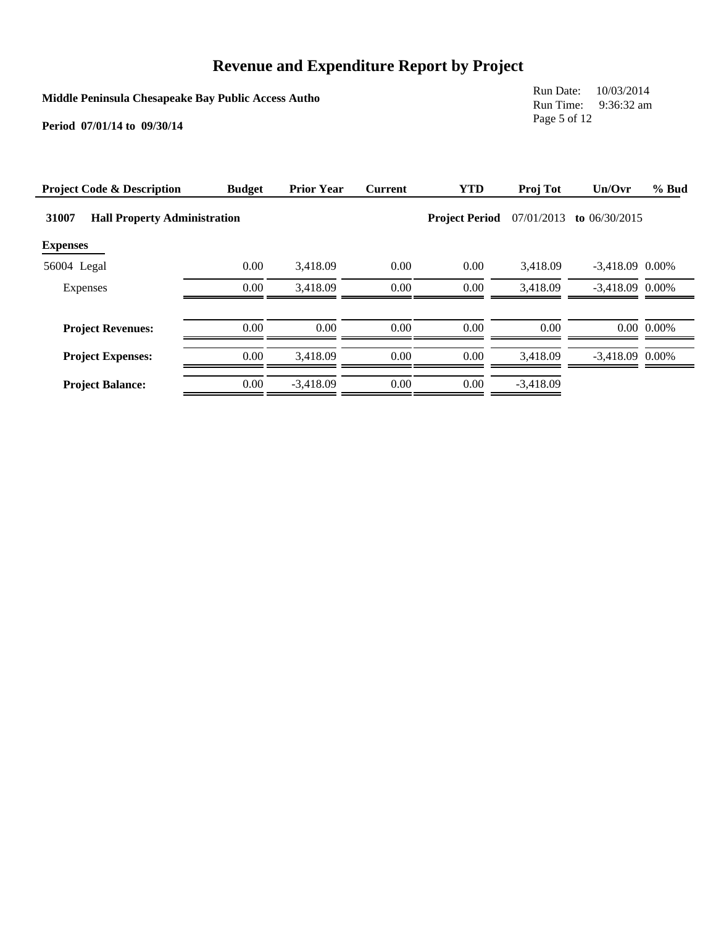**Middle Peninsula Chesapeake Bay Public Access Autho**

Run Date: 10/03/2014 Run Time: 9:36:32 am Page 5 of 12

| <b>Project Code &amp; Description</b> | <b>Budget</b>                       | <b>Prior Year</b> | <b>Current</b> | <b>YTD</b> | Proj Tot                            | Un/Ovr            | % Bud          |
|---------------------------------------|-------------------------------------|-------------------|----------------|------------|-------------------------------------|-------------------|----------------|
| 31007                                 | <b>Hall Property Administration</b> |                   |                |            | 07/01/2013<br><b>Project Period</b> | to $06/30/2015$   |                |
| <b>Expenses</b>                       |                                     |                   |                |            |                                     |                   |                |
| 56004 Legal                           | 0.00                                | 3,418.09          | 0.00           | 0.00       | 3.418.09                            | $-3,418.09$ 0.00% |                |
| Expenses                              | 0.00                                | 3,418.09          | 0.00           | 0.00       | 3,418.09                            | $-3,418.09$ 0.00% |                |
| <b>Project Revenues:</b>              | 0.00                                | 0.00              | 0.00           | 0.00       | 0.00                                |                   | $0.00\ 0.00\%$ |
| <b>Project Expenses:</b>              | 0.00                                | 3.418.09          | 0.00           | 0.00       | 3.418.09                            | $-3.418.09$ 0.00% |                |
| <b>Project Balance:</b>               | 0.00                                | $-3.418.09$       | 0.00           | 0.00       | $-3.418.09$                         |                   |                |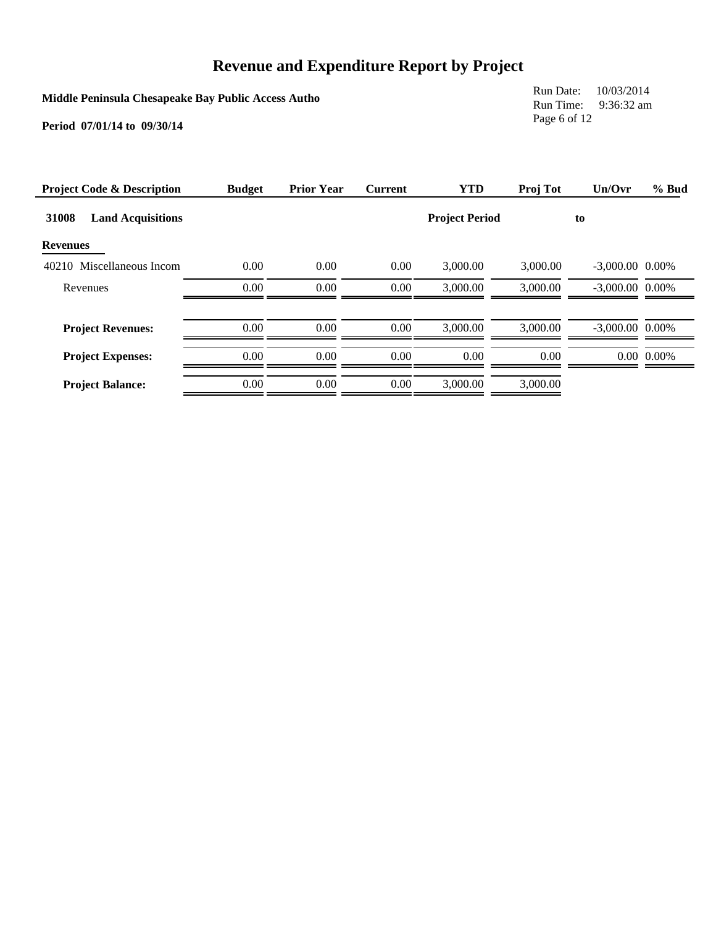**Middle Peninsula Chesapeake Bay Public Access Autho**

Run Date: 10/03/2014 Run Time: 9:36:32 am Page 6 of 12

| <b>Project Code &amp; Description</b> | <b>Budget</b> | <b>Prior Year</b> | <b>Current</b> | <b>YTD</b>            | Proj Tot | Un/Ovr            | % Bud          |
|---------------------------------------|---------------|-------------------|----------------|-----------------------|----------|-------------------|----------------|
| 31008<br><b>Land Acquisitions</b>     |               |                   |                | <b>Project Period</b> |          | to                |                |
| <b>Revenues</b>                       |               |                   |                |                       |          |                   |                |
| 40210 Miscellaneous Incom             | 0.00          | 0.00              | 0.00           | 3,000.00              | 3,000.00 | $-3,000.00$ 0.00% |                |
| Revenues                              | 0.00          | 0.00              | $0.00\,$       | 3,000.00              | 3,000.00 | $-3.000.00$ 0.00% |                |
| <b>Project Revenues:</b>              | 0.00          | 0.00              | 0.00           | 3,000.00              | 3,000.00 | $-3.000.00$ 0.00% |                |
| <b>Project Expenses:</b>              | 0.00          | 0.00              | 0.00           | 0.00                  | 0.00     |                   | $0.00\ 0.00\%$ |
| <b>Project Balance:</b>               | 0.00          | 0.00              | 0.00           | 3,000.00              | 3,000.00 |                   |                |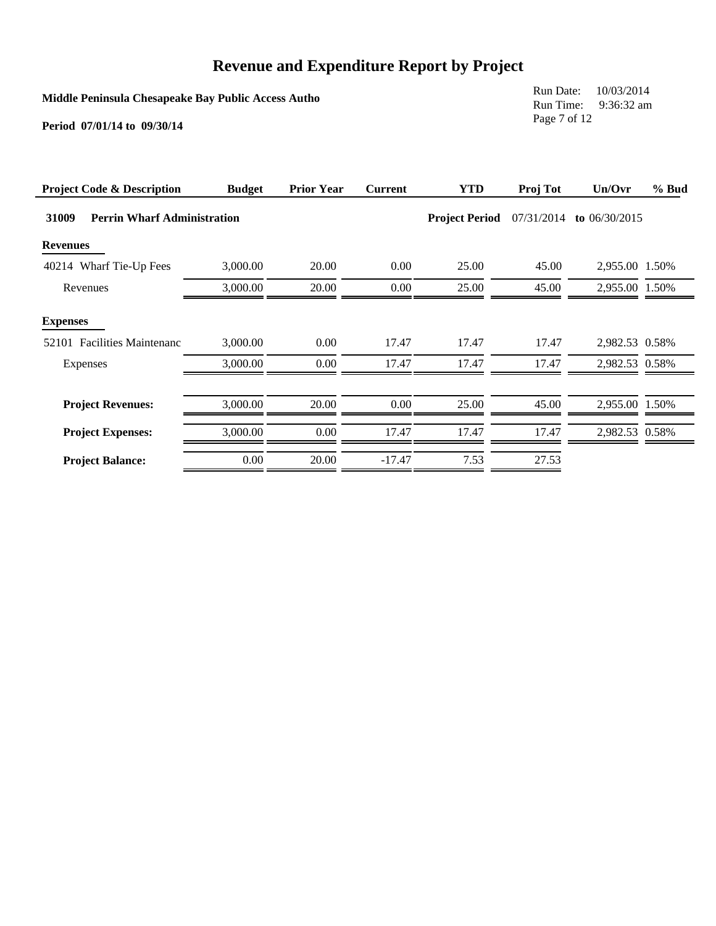**Middle Peninsula Chesapeake Bay Public Access Autho**

Run Date: 10/03/2014 Run Time: 9:36:32 am Page 7 of 12

| <b>Project Code &amp; Description</b>          | <b>Budget</b> | <b>Prior Year</b> | <b>Current</b> | <b>YTD</b>            | Proj Tot   | Un/Ovr          | % Bud |
|------------------------------------------------|---------------|-------------------|----------------|-----------------------|------------|-----------------|-------|
| 31009<br><b>Perrin Wharf Administration</b>    |               |                   |                | <b>Project Period</b> | 07/31/2014 | to $06/30/2015$ |       |
| <b>Revenues</b>                                |               |                   |                |                       |            |                 |       |
| 40214 Wharf Tie-Up Fees                        | 3,000.00      | 20.00             | 0.00           | 25.00                 | 45.00      | 2,955.00 1.50%  |       |
| Revenues                                       | 3,000.00      | 20.00             | $0.00\,$       | 25.00                 | 45.00      | 2,955.00 1.50%  |       |
| <b>Expenses</b><br>52101 Facilities Maintenanc | 3,000.00      | 0.00              | 17.47          | 17.47                 | 17.47      | 2,982.53 0.58%  |       |
| Expenses                                       | 3,000.00      | 0.00              | 17.47          | 17.47                 | 17.47      | 2,982.53 0.58%  |       |
| <b>Project Revenues:</b>                       | 3,000.00      | 20.00             | $0.00\,$       | 25.00                 | 45.00      | 2,955.00 1.50%  |       |
| <b>Project Expenses:</b>                       | 3,000.00      | 0.00              | 17.47          | 17.47                 | 17.47      | 2,982.53 0.58%  |       |
| <b>Project Balance:</b>                        | 0.00          | 20.00             | $-17.47$       | 7.53                  | 27.53      |                 |       |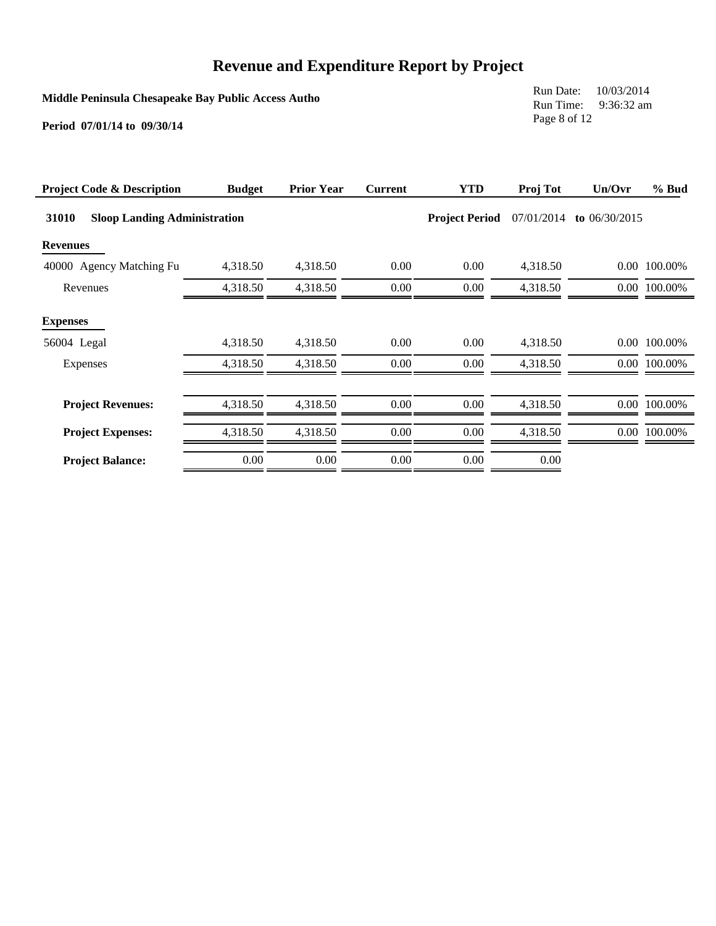**Middle Peninsula Chesapeake Bay Public Access Autho**

Run Date: 10/03/2014 Run Time: 9:36:32 am Page 8 of 12

| <b>Project Code &amp; Description</b>        | <b>Budget</b> | <b>Prior Year</b> | <b>Current</b> | <b>YTD</b>            | Proj Tot   | Un/Ovr          | % Bud        |
|----------------------------------------------|---------------|-------------------|----------------|-----------------------|------------|-----------------|--------------|
| 31010<br><b>Sloop Landing Administration</b> |               |                   |                | <b>Project Period</b> | 07/01/2014 | to $06/30/2015$ |              |
| <b>Revenues</b>                              |               |                   |                |                       |            |                 |              |
| 40000 Agency Matching Fu                     | 4,318.50      | 4,318.50          | 0.00           | 0.00                  | 4,318.50   |                 | 0.00 100.00% |
| Revenues                                     | 4,318.50      | 4,318.50          | $0.00\,$       | 0.00                  | 4,318.50   |                 | 0.00 100.00% |
| <b>Expenses</b>                              |               |                   |                |                       |            |                 |              |
| 56004 Legal                                  | 4,318.50      | 4,318.50          | $0.00\,$       | 0.00                  | 4,318.50   |                 | 0.00 100.00% |
| Expenses                                     | 4,318.50      | 4,318.50          | 0.00           | 0.00                  | 4,318.50   |                 | 0.00 100.00% |
|                                              |               |                   |                |                       |            |                 |              |
| <b>Project Revenues:</b>                     | 4,318.50      | 4,318.50          | $0.00\,$       | 0.00                  | 4,318.50   |                 | 0.00 100.00% |
| <b>Project Expenses:</b>                     | 4,318.50      | 4,318.50          | $0.00\,$       | 0.00                  | 4,318.50   |                 | 0.00 100.00% |
| <b>Project Balance:</b>                      | 0.00          | 0.00              | 0.00           | 0.00                  | 0.00       |                 |              |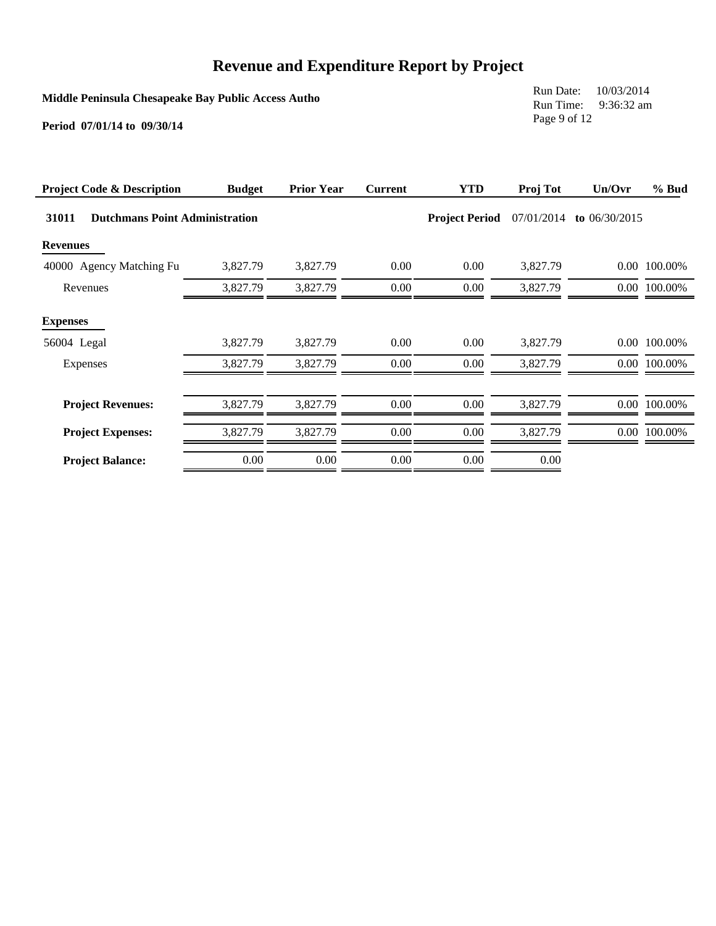**Middle Peninsula Chesapeake Bay Public Access Autho**

Run Date: 10/03/2014 Run Time: 9:36:32 am Page 9 of 12

| <b>Project Code &amp; Description</b>          | <b>Budget</b> | <b>Prior Year</b> | <b>Current</b> | <b>YTD</b>            | Proj Tot   | Un/Ovr          | % Bud        |
|------------------------------------------------|---------------|-------------------|----------------|-----------------------|------------|-----------------|--------------|
| 31011<br><b>Dutchmans Point Administration</b> |               |                   |                | <b>Project Period</b> | 07/01/2014 | to $06/30/2015$ |              |
| <b>Revenues</b>                                |               |                   |                |                       |            |                 |              |
| 40000 Agency Matching Fu                       | 3,827.79      | 3,827.79          | 0.00           | 0.00                  | 3,827.79   |                 | 0.00 100.00% |
| Revenues                                       | 3,827.79      | 3,827.79          | $0.00\,$       | 0.00                  | 3,827.79   |                 | 0.00 100.00% |
| <b>Expenses</b>                                |               |                   |                |                       |            |                 |              |
| 56004 Legal                                    | 3,827.79      | 3,827.79          | 0.00           | 0.00                  | 3,827.79   |                 | 0.00 100.00% |
| Expenses                                       | 3,827.79      | 3,827.79          | 0.00           | 0.00                  | 3.827.79   |                 | 0.00 100.00% |
|                                                |               |                   |                |                       |            |                 |              |
| <b>Project Revenues:</b>                       | 3,827.79      | 3,827.79          | $0.00\,$       | 0.00                  | 3,827.79   |                 | 0.00 100.00% |
| <b>Project Expenses:</b>                       | 3,827.79      | 3,827.79          | $0.00\,$       | 0.00                  | 3,827.79   |                 | 0.00 100.00% |
| <b>Project Balance:</b>                        | 0.00          | 0.00              | $0.00\,$       | 0.00                  | 0.00       |                 |              |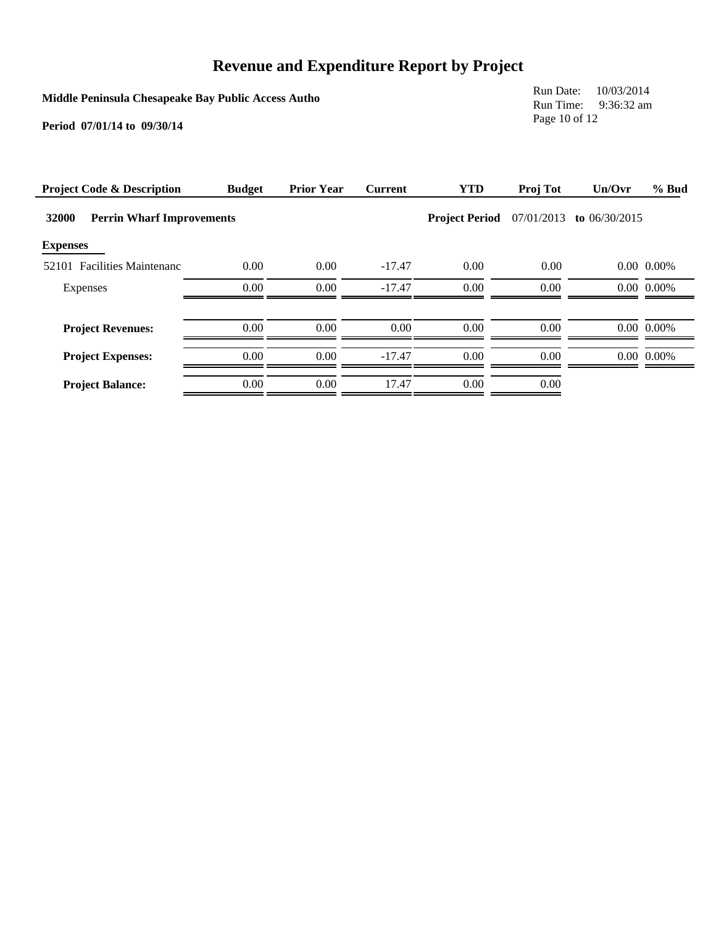**Middle Peninsula Chesapeake Bay Public Access Autho**

Run Date: 10/03/2014 Run Time: 9:36:32 am Page 10 of 12

| <b>Project Code &amp; Description</b>     | <b>Budget</b> | <b>Prior Year</b> | <b>Current</b> | <b>YTD</b>            | Proj Tot   | Un/Ovr          | % Bud          |
|-------------------------------------------|---------------|-------------------|----------------|-----------------------|------------|-----------------|----------------|
| 32000<br><b>Perrin Wharf Improvements</b> |               |                   |                | <b>Project Period</b> | 07/01/2013 | to $06/30/2015$ |                |
| <b>Expenses</b>                           |               |                   |                |                       |            |                 |                |
| 52101 Facilities Maintenanc               | 0.00          | 0.00              | $-17.47$       | 0.00                  | 0.00       |                 | $0.00\ 0.00\%$ |
| Expenses                                  | 0.00          | 0.00              | $-17.47$       | 0.00                  | 0.00       |                 | $0.00\ 0.00\%$ |
|                                           |               |                   |                |                       |            |                 |                |
| <b>Project Revenues:</b>                  | 0.00          | 0.00              | 0.00           | 0.00                  | 0.00       |                 | 0.00 0.00%     |
| <b>Project Expenses:</b>                  | 0.00          | 0.00              | $-17.47$       | 0.00                  | 0.00       |                 | $0.00\ 0.00\%$ |
| <b>Project Balance:</b>                   | 0.00          | 0.00              | 17.47          | 0.00                  | 0.00       |                 |                |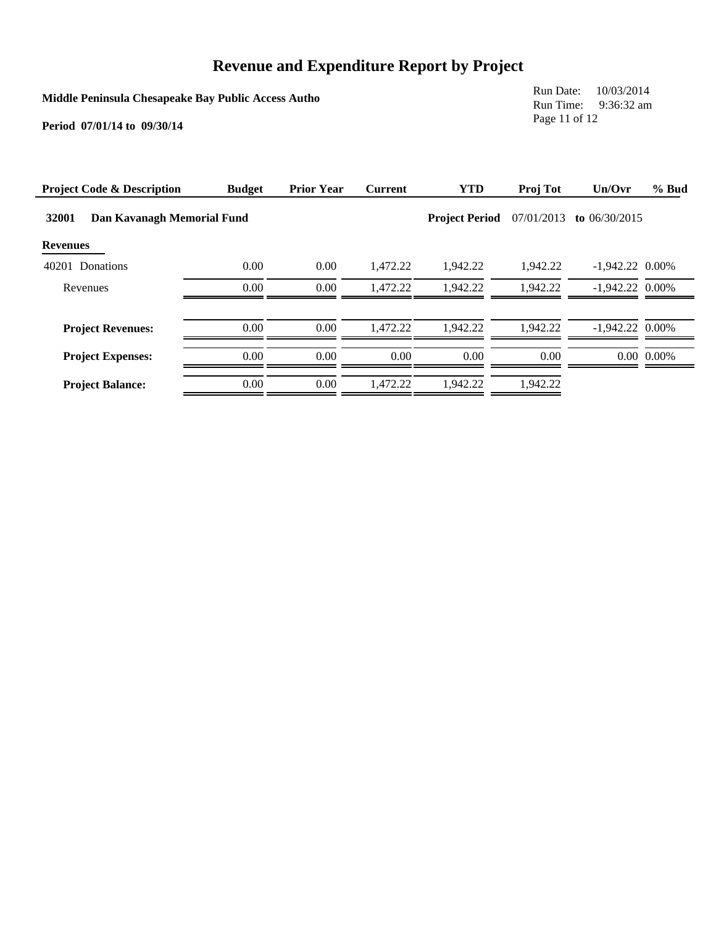**Middle Peninsula Chesapeake Bay Public Access Autho**

Run Date: 10/03/2014 Run Time: 9:36:32 am Page 11 of 12

| <b>Project Code &amp; Description</b> | <b>Budget</b> | <b>Prior Year</b> | <b>Current</b> | <b>YTD</b>            | Proj Tot   | Un/Ovr            | % Bud          |
|---------------------------------------|---------------|-------------------|----------------|-----------------------|------------|-------------------|----------------|
| 32001<br>Dan Kavanagh Memorial Fund   |               |                   |                | <b>Project Period</b> | 07/01/2013 | to $06/30/2015$   |                |
| <b>Revenues</b>                       |               |                   |                |                       |            |                   |                |
| 40201 Donations                       | 0.00          | 0.00              | 1.472.22       | 1.942.22              | 1,942.22   | $-1,942.22$ 0.00% |                |
| Revenues                              | 0.00          | 0.00              | 1.472.22       | 1.942.22              | 1.942.22   | $-1.942.22$ 0.00% |                |
| <b>Project Revenues:</b>              | 0.00          | 0.00              | 1.472.22       | 1.942.22              | 1.942.22   | $-1.942.22$ 0.00% |                |
| <b>Project Expenses:</b>              | 0.00          | 0.00              | 0.00           | 0.00                  | 0.00       |                   | $0.00\ 0.00\%$ |
| <b>Project Balance:</b>               | 0.00          | 0.00              | 1.472.22       | 1.942.22              | 1.942.22   |                   |                |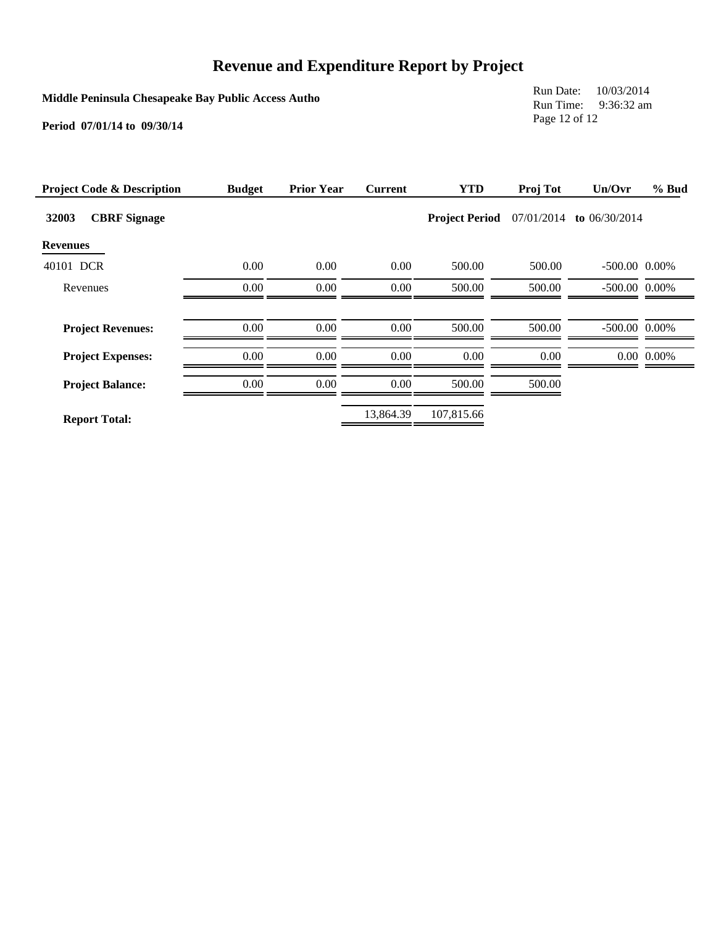**Middle Peninsula Chesapeake Bay Public Access Autho**

Run Date: 10/03/2014 Run Time: 9:36:32 am Page 12 of 12

| <b>Project Code &amp; Description</b> | <b>Budget</b> | <b>Prior Year</b> | <b>Current</b> | <b>YTD</b>            | Proj Tot   | Un/Ovr             | $%$ Bud        |
|---------------------------------------|---------------|-------------------|----------------|-----------------------|------------|--------------------|----------------|
| 32003<br><b>CBRF</b> Signage          |               |                   |                | <b>Project Period</b> | 07/01/2014 | to $06/30/2014$    |                |
| <b>Revenues</b>                       |               |                   |                |                       |            |                    |                |
| 40101 DCR                             | 0.00          | 0.00              | 0.00           | 500.00                | 500.00     | $-500.00$ 0.00%    |                |
| Revenues                              | 0.00          | 0.00              | $0.00\,$       | 500.00                | 500.00     | $-500.00$ 0.00%    |                |
|                                       |               |                   |                |                       |            |                    |                |
| <b>Project Revenues:</b>              | 0.00          | 0.00              | 0.00           | 500.00                | 500.00     | $-500.00$ $0.00\%$ |                |
| <b>Project Expenses:</b>              | 0.00          | 0.00              | 0.00           | 0.00                  | 0.00       |                    | $0.00\ 0.00\%$ |
| <b>Project Balance:</b>               | 0.00          | 0.00              | 0.00           | 500.00                | 500.00     |                    |                |
| <b>Report Total:</b>                  |               |                   | 13,864.39      | 107,815.66            |            |                    |                |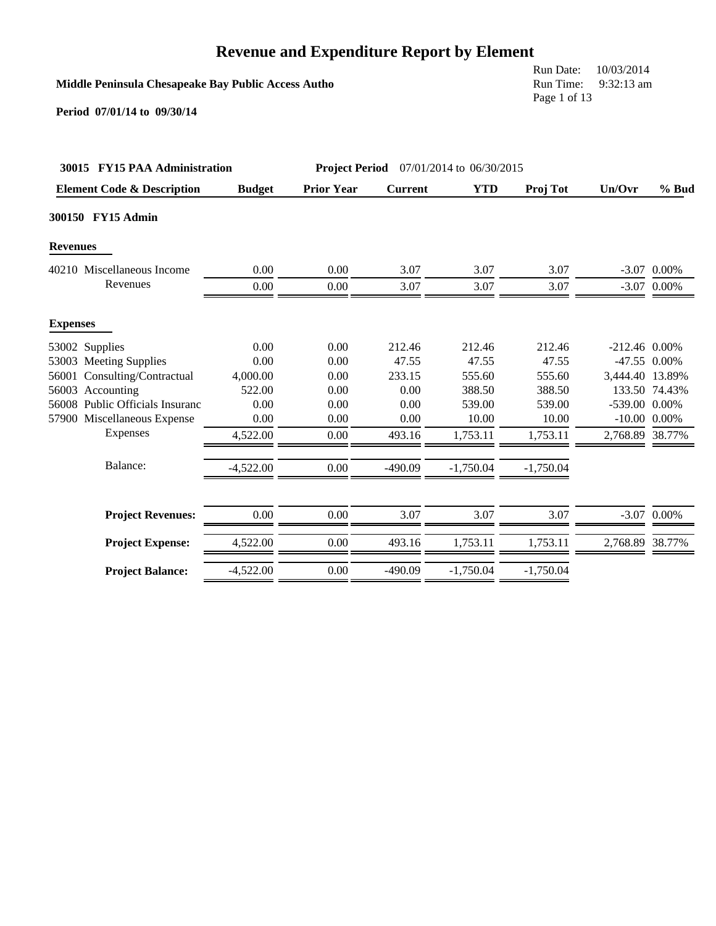### **Middle Peninsula Chesapeake Bay Public Access Autho**

Run Date: 10/03/2014 Run Time: 9:32:13 am Page 1 of 13

|                 | 30015 FY15 PAA Administration         |               | <b>Project Period</b> 07/01/2014 to 06/30/2015 |                |             |             |                 |                   |
|-----------------|---------------------------------------|---------------|------------------------------------------------|----------------|-------------|-------------|-----------------|-------------------|
|                 | <b>Element Code &amp; Description</b> | <b>Budget</b> | <b>Prior Year</b>                              | <b>Current</b> | <b>YTD</b>  | Proj Tot    | Un/Ovr          | $%$ Bud           |
|                 | 300150 FY15 Admin                     |               |                                                |                |             |             |                 |                   |
| <b>Revenues</b> |                                       |               |                                                |                |             |             |                 |                   |
|                 | 40210 Miscellaneous Income            | 0.00          | 0.00                                           | 3.07           | 3.07        | 3.07        |                 | $-3.07$ 0.00%     |
|                 | Revenues                              | 0.00          | 0.00                                           | 3.07           | 3.07        | 3.07        |                 | $-3.07$ 0.00%     |
| <b>Expenses</b> |                                       |               |                                                |                |             |             |                 |                   |
|                 | 53002 Supplies                        | 0.00          | 0.00                                           | 212.46         | 212.46      | 212.46      | $-212.46$ 0.00% |                   |
|                 | 53003 Meeting Supplies                | 0.00          | 0.00                                           | 47.55          | 47.55       | 47.55       |                 | $-47.55$ 0.00%    |
| 56001           | Consulting/Contractual                | 4,000.00      | 0.00                                           | 233.15         | 555.60      | 555.60      | 3,444.40 13.89% |                   |
| 56003           | Accounting                            | 522.00        | 0.00                                           | 0.00           | 388.50      | 388.50      |                 | 133.50 74.43%     |
|                 | 56008 Public Officials Insuranc       | 0.00          | 0.00                                           | 0.00           | 539.00      | 539.00      | -539.00 0.00%   |                   |
|                 | 57900 Miscellaneous Expense           | 0.00          | 0.00                                           | 0.00           | 10.00       | 10.00       |                 | $-10.00$ $0.00\%$ |
|                 | Expenses                              | 4,522.00      | 0.00                                           | 493.16         | 1,753.11    | 1,753.11    | 2,768.89 38.77% |                   |
|                 | Balance:                              | $-4,522.00$   | 0.00                                           | $-490.09$      | $-1,750.04$ | $-1,750.04$ |                 |                   |
|                 | <b>Project Revenues:</b>              | 0.00          | 0.00                                           | 3.07           | 3.07        | 3.07        |                 | $-3.07$ 0.00%     |
|                 | <b>Project Expense:</b>               | 4,522.00      | 0.00                                           | 493.16         | 1,753.11    | 1,753.11    | 2,768.89 38.77% |                   |
|                 | <b>Project Balance:</b>               | $-4,522.00$   | 0.00                                           | $-490.09$      | $-1,750.04$ | $-1,750.04$ |                 |                   |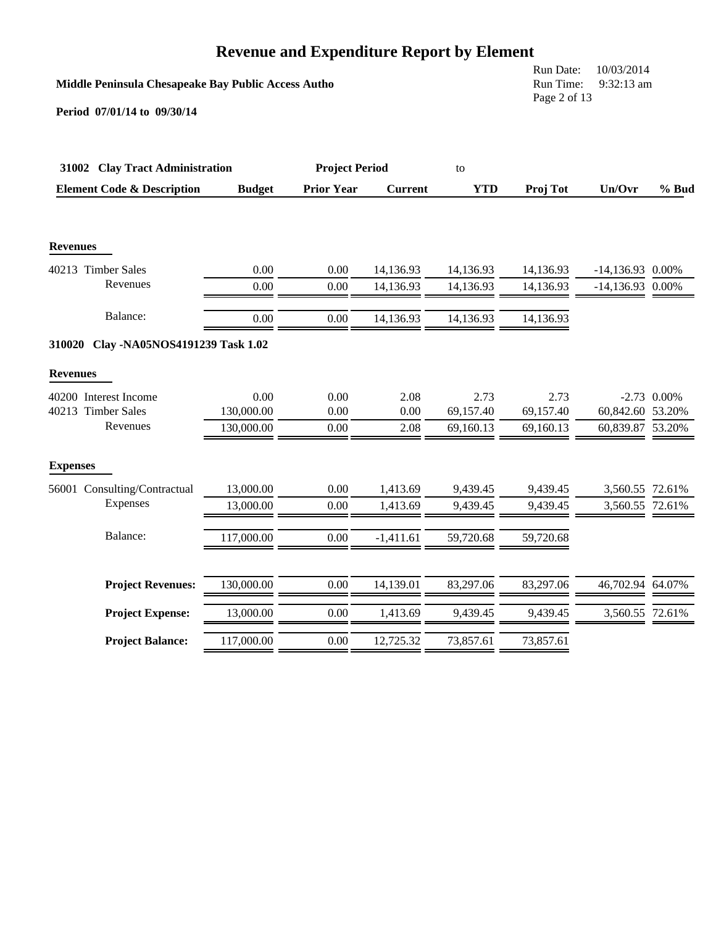|                                          |                                                     | <b>Revenue and Expenditure Report by Element</b> |                |            |              |                    |               |  |  |
|------------------------------------------|-----------------------------------------------------|--------------------------------------------------|----------------|------------|--------------|--------------------|---------------|--|--|
|                                          | Middle Peninsula Chesapeake Bay Public Access Autho |                                                  |                |            |              |                    |               |  |  |
| Period 07/01/14 to 09/30/14              |                                                     |                                                  |                |            | Page 2 of 13 |                    |               |  |  |
| 31002 Clay Tract Administration          |                                                     | <b>Project Period</b>                            |                | to         |              |                    |               |  |  |
| <b>Element Code &amp; Description</b>    | <b>Budget</b>                                       | <b>Prior Year</b>                                | <b>Current</b> | <b>YTD</b> | Proj Tot     | Un/Ovr             | % Bud         |  |  |
| <b>Revenues</b>                          |                                                     |                                                  |                |            |              |                    |               |  |  |
| 40213 Timber Sales                       | 0.00                                                | 0.00                                             | 14,136.93      | 14,136.93  | 14,136.93    | $-14,136.93$ 0.00% |               |  |  |
| Revenues                                 | 0.00                                                | 0.00                                             | 14,136.93      | 14,136.93  | 14,136.93    | $-14,136.93$       | 0.00%         |  |  |
| Balance:                                 | 0.00                                                | 0.00                                             | 14,136.93      | 14,136.93  | 14,136.93    |                    |               |  |  |
| 310020<br>Clay -NA05NOS4191239 Task 1.02 |                                                     |                                                  |                |            |              |                    |               |  |  |
| <b>Revenues</b>                          |                                                     |                                                  |                |            |              |                    |               |  |  |
| 40200 Interest Income                    | 0.00                                                | 0.00                                             | 2.08           | 2.73       | 2.73         |                    | $-2.73$ 0.00% |  |  |
| 40213 Timber Sales                       | 130,000.00                                          | 0.00                                             | 0.00           | 69,157.40  | 69,157.40    | 60,842.60 53.20%   |               |  |  |
| Revenues                                 | 130,000.00                                          | 0.00                                             | 2.08           | 69,160.13  | 69,160.13    | 60,839.87 53.20%   |               |  |  |
| <b>Expenses</b>                          |                                                     |                                                  |                |            |              |                    |               |  |  |
| 56001 Consulting/Contractual             | 13,000.00                                           | 0.00                                             | 1,413.69       | 9,439.45   | 9,439.45     | 3,560.55 72.61%    |               |  |  |
| Expenses                                 | 13,000.00                                           | 0.00                                             | 1,413.69       | 9,439.45   | 9,439.45     | 3,560.55 72.61%    |               |  |  |
| Balance:                                 | 117,000.00                                          | 0.00                                             | $-1,411.61$    | 59,720.68  | 59,720.68    |                    |               |  |  |
| <b>Project Revenues:</b>                 | 130,000.00                                          | 0.00                                             | 14,139.01      | 83,297.06  | 83,297.06    | 46,702.94 64.07%   |               |  |  |
| <b>Project Expense:</b>                  | 13,000.00                                           | 0.00                                             | 1,413.69       | 9,439.45   | 9,439.45     | 3,560.55 72.61%    |               |  |  |
| <b>Project Balance:</b>                  | 117,000.00                                          | 0.00                                             | 12,725.32      | 73,857.61  | 73,857.61    |                    |               |  |  |
|                                          |                                                     |                                                  |                |            |              |                    |               |  |  |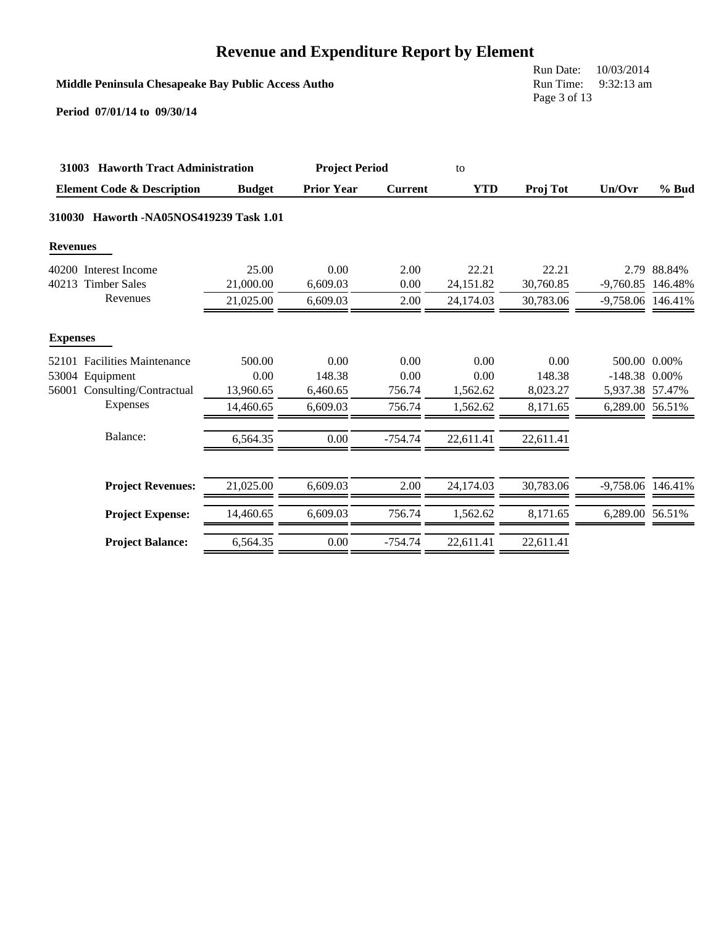### **Middle Peninsula Chesapeake Bay Public Access Autho**

Run Date: 10/03/2014 Run Time: 9:32:13 am Page 3 of 13

|                 | 31003 Haworth Tract Administration    |               |                   | <b>Project Period</b> |            |           |                   |             |
|-----------------|---------------------------------------|---------------|-------------------|-----------------------|------------|-----------|-------------------|-------------|
|                 | <b>Element Code &amp; Description</b> | <b>Budget</b> | <b>Prior Year</b> | <b>Current</b>        | <b>YTD</b> | Proj Tot  | Un/Ovr            | $%$ Bud     |
| 310030          | Haworth -NA05NOS419239 Task 1.01      |               |                   |                       |            |           |                   |             |
| <b>Revenues</b> |                                       |               |                   |                       |            |           |                   |             |
|                 | 40200 Interest Income                 | 25.00         | 0.00              | 2.00                  | 22.21      | 22.21     |                   | 2.79 88.84% |
|                 | 40213 Timber Sales                    | 21,000.00     | 6.609.03          | 0.00                  | 24,151.82  | 30,760.85 | $-9,760.85$       | 146.48%     |
|                 | Revenues                              | 21,025.00     | 6,609.03          | 2.00                  | 24,174.03  | 30,783.06 | -9,758.06 146.41% |             |
| <b>Expenses</b> |                                       |               |                   |                       |            |           |                   |             |
| 52101           | <b>Facilities Maintenance</b>         | 500.00        | 0.00              | 0.00                  | 0.00       | 0.00      | 500.00 0.00%      |             |
|                 | 53004 Equipment                       | 0.00          | 148.38            | 0.00                  | 0.00       | 148.38    | $-148.38$ 0.00%   |             |
| 56001           | Consulting/Contractual                | 13.960.65     | 6,460.65          | 756.74                | 1,562.62   | 8,023.27  | 5,937.38 57.47%   |             |
|                 | Expenses                              | 14,460.65     | 6,609.03          | 756.74                | 1,562.62   | 8,171.65  | 6,289.00 56.51%   |             |
|                 | Balance:                              | 6,564.35      | 0.00              | $-754.74$             | 22,611.41  | 22,611.41 |                   |             |
|                 | <b>Project Revenues:</b>              | 21,025.00     | 6,609.03          | 2.00                  | 24,174.03  | 30,783.06 | -9,758.06 146.41% |             |
|                 | <b>Project Expense:</b>               | 14,460.65     | 6,609.03          | 756.74                | 1,562.62   | 8,171.65  | 6,289.00 56.51%   |             |
|                 | <b>Project Balance:</b>               | 6,564.35      | 0.00              | $-754.74$             | 22.611.41  | 22,611.41 |                   |             |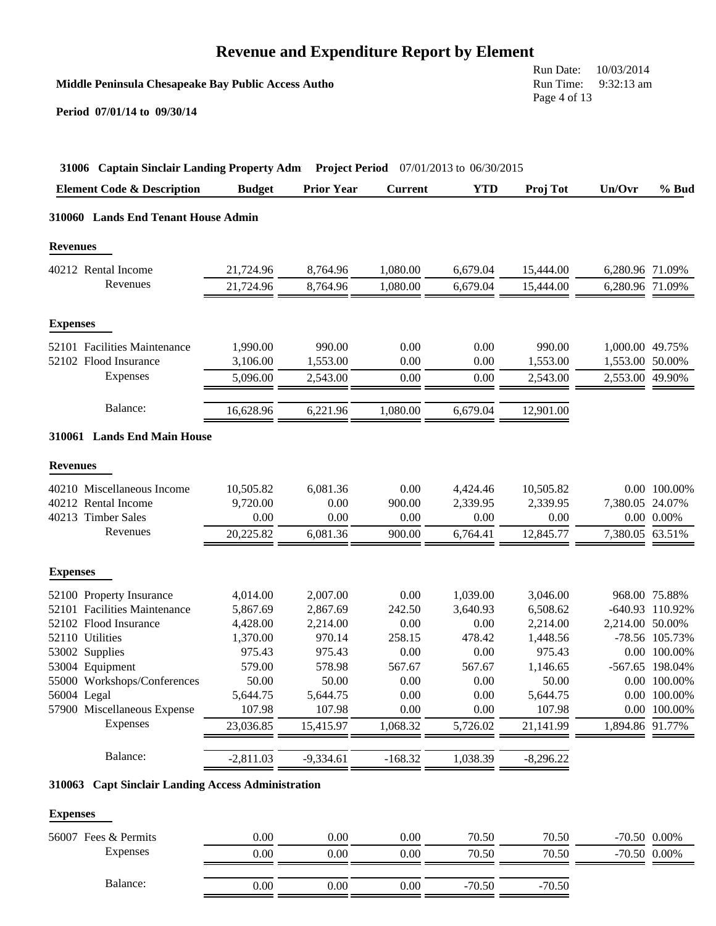**Middle Peninsula Chesapeake Bay Public Access Autho**

Run Date: 10/03/2014 Run Time: 9:32:13 am Page 4 of 13

**Period 07/01/14 to 09/30/14**

| 31006 Captain Sinclair Landing Property Adm Project Period 07/01/2013 to 06/30/2015 |               |                   |                |            |             |                 |                 |
|-------------------------------------------------------------------------------------|---------------|-------------------|----------------|------------|-------------|-----------------|-----------------|
| <b>Element Code &amp; Description</b>                                               | <b>Budget</b> | <b>Prior Year</b> | <b>Current</b> | <b>YTD</b> | Proj Tot    | Un/Ovr          | % Bud           |
| 310060 Lands End Tenant House Admin                                                 |               |                   |                |            |             |                 |                 |
| <b>Revenues</b>                                                                     |               |                   |                |            |             |                 |                 |
| 40212 Rental Income                                                                 | 21,724.96     | 8,764.96          | 1,080.00       | 6,679.04   | 15,444.00   | 6,280.96 71.09% |                 |
| Revenues                                                                            | 21,724.96     | 8,764.96          | 1,080.00       | 6,679.04   | 15,444.00   | 6,280.96 71.09% |                 |
| <b>Expenses</b>                                                                     |               |                   |                |            |             |                 |                 |
| 52101 Facilities Maintenance                                                        | 1,990.00      | 990.00            | 0.00           | 0.00       | 990.00      | 1,000.00 49.75% |                 |
| 52102 Flood Insurance                                                               | 3,106.00      | 1,553.00          | 0.00           | 0.00       | 1,553.00    | 1,553.00 50.00% |                 |
| Expenses                                                                            | 5,096.00      | 2,543.00          | 0.00           | 0.00       | 2,543.00    | 2,553.00 49.90% |                 |
| Balance:                                                                            | 16,628.96     | 6,221.96          | 1,080.00       | 6,679.04   | 12,901.00   |                 |                 |
| 310061 Lands End Main House                                                         |               |                   |                |            |             |                 |                 |
| <b>Revenues</b>                                                                     |               |                   |                |            |             |                 |                 |
| 40210 Miscellaneous Income                                                          | 10,505.82     | 6,081.36          | 0.00           | 4,424.46   | 10,505.82   |                 | 0.00 100.00%    |
| 40212 Rental Income                                                                 | 9,720.00      | 0.00              | 900.00         | 2,339.95   | 2,339.95    | 7,380.05 24.07% |                 |
| 40213 Timber Sales                                                                  | 0.00          | 0.00              | 0.00           | 0.00       | 0.00        |                 | $0.00\ 0.00\%$  |
| Revenues                                                                            | 20,225.82     | 6,081.36          | 900.00         | 6,764.41   | 12,845.77   | 7,380.05 63.51% |                 |
| <b>Expenses</b>                                                                     |               |                   |                |            |             |                 |                 |
| 52100 Property Insurance                                                            | 4,014.00      | 2,007.00          | 0.00           | 1,039.00   | 3,046.00    |                 | 968.00 75.88%   |
| 52101 Facilities Maintenance                                                        | 5,867.69      | 2,867.69          | 242.50         | 3,640.93   | 6,508.62    |                 | -640.93 110.92% |
| 52102 Flood Insurance                                                               | 4,428.00      | 2,214.00          | 0.00           | 0.00       | 2,214.00    | 2,214.00 50.00% |                 |
| 52110 Utilities                                                                     | 1,370.00      | 970.14            | 258.15         | 478.42     | 1,448.56    |                 | -78.56 105.73%  |
| 53002 Supplies                                                                      | 975.43        | 975.43            | 0.00           | 0.00       | 975.43      |                 | 0.00 100.00%    |
| 53004 Equipment                                                                     | 579.00        | 578.98            | 567.67         | 567.67     | 1,146.65    |                 | -567.65 198.04% |
| 55000 Workshops/Conferences                                                         | 50.00         | 50.00             | 0.00           | 0.00       | 50.00       |                 | 0.00 100.00%    |
| 56004 Legal                                                                         | 5,644.75      | 5,644.75          | 0.00           | 0.00       | 5,644.75    |                 | 0.00 100.00%    |
| 57900 Miscellaneous Expense                                                         | 107.98        | 107.98            | 0.00           | 0.00       | 107.98      |                 | 0.00 100.00%    |
| Expenses                                                                            | 23,036.85     | 15,415.97         | 1,068.32       | 5,726.02   | 21,141.99   | 1,894.86 91.77% |                 |
| Balance:                                                                            | $-2,811.03$   | $-9,334.61$       | $-168.32$      | 1,038.39   | $-8,296.22$ |                 |                 |
| 310063 Capt Sinclair Landing Access Administration                                  |               |                   |                |            |             |                 |                 |
| <b>Expenses</b>                                                                     |               |                   |                |            |             |                 |                 |
| 56007 Fees & Permits                                                                | 0.00          | 0.00              | 0.00           | 70.50      | 70.50       | -70.50 0.00%    |                 |
| Expenses                                                                            | 0.00          | 0.00              | 0.00           | 70.50      | 70.50       | -70.50 0.00%    |                 |
|                                                                                     |               |                   |                |            |             |                 |                 |

Balance: 0.00 0.00 0.00 -70.50 -70.50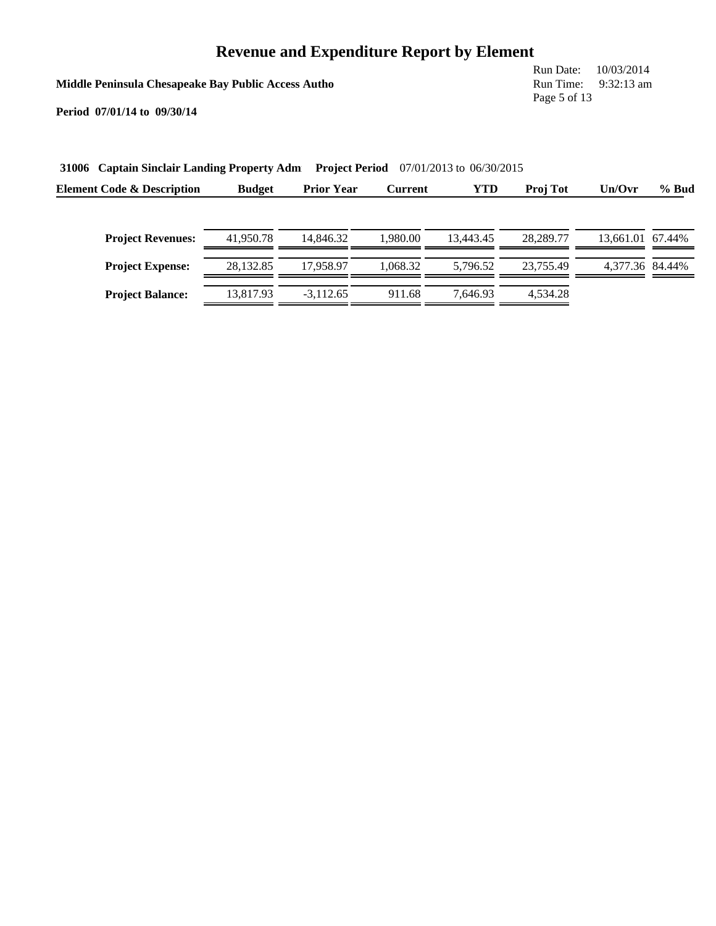**Middle Peninsula Chesapeake Bay Public Access Autho**

Run Date: 10/03/2014 Run Time: 9:32:13 am Page 5 of 13

| 31006 Captain Sinclair Landing Property Adm |               | <b>Project Period</b><br>$07/01/2013$ to $06/30/2015$ |                |            |                 |                  |       |  |  |
|---------------------------------------------|---------------|-------------------------------------------------------|----------------|------------|-----------------|------------------|-------|--|--|
| <b>Element Code &amp; Description</b>       | <b>Budget</b> | <b>Prior Year</b>                                     | <b>Current</b> | <b>YTD</b> | <b>Proj Tot</b> | Un/Ovr           | % Bud |  |  |
|                                             |               |                                                       |                |            |                 |                  |       |  |  |
| <b>Project Revenues:</b>                    | 41,950.78     | 14.846.32                                             | 1.980.00       | 13.443.45  | 28,289.77       | 13.661.01 67.44% |       |  |  |
| <b>Project Expense:</b>                     | 28.132.85     | 17.958.97                                             | 1.068.32       | 5.796.52   | 23.755.49       | 4.377.36 84.44%  |       |  |  |
| <b>Project Balance:</b>                     | 13.817.93     | $-3.112.65$                                           | 911.68         | 7.646.93   | 4,534.28        |                  |       |  |  |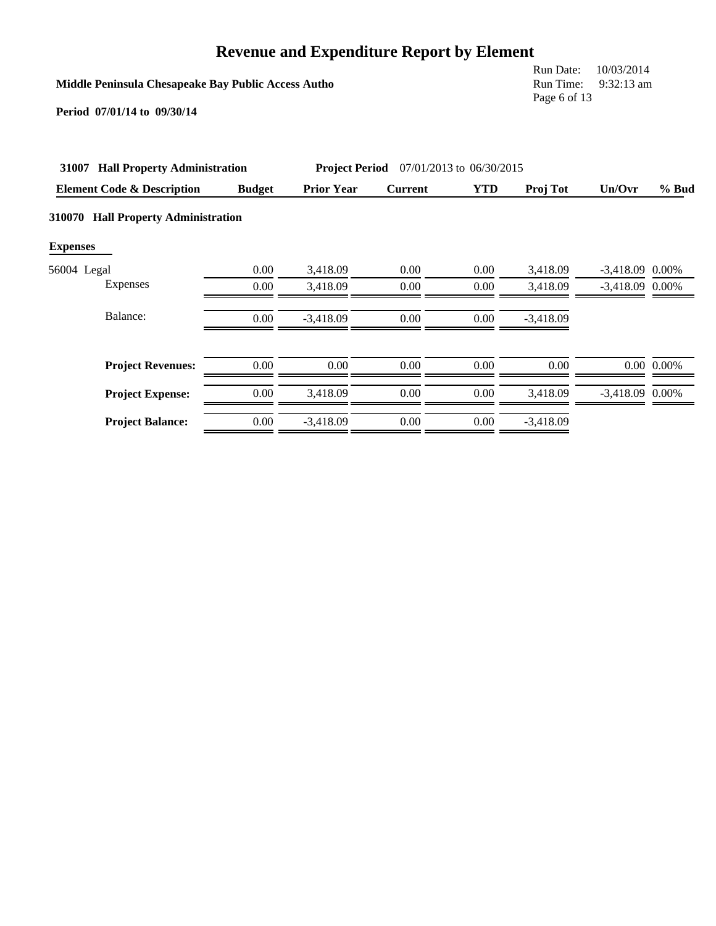### **Middle Peninsula Chesapeake Bay Public Access Autho**

Run Date: 10/03/2014 Run Time: 9:32:13 am Page 6 of 13

| 31007           | <b>Hall Property Administration</b>   | <b>Project Period</b> 07/01/2013 to 06/30/2015 |                   |                |            |             |                   |                |
|-----------------|---------------------------------------|------------------------------------------------|-------------------|----------------|------------|-------------|-------------------|----------------|
|                 | <b>Element Code &amp; Description</b> | <b>Budget</b>                                  | <b>Prior Year</b> | <b>Current</b> | <b>YTD</b> | Proj Tot    | Un/Ovr            | $%$ Bud        |
| 310070          | <b>Hall Property Administration</b>   |                                                |                   |                |            |             |                   |                |
| <b>Expenses</b> |                                       |                                                |                   |                |            |             |                   |                |
| 56004 Legal     |                                       | 0.00                                           | 3,418.09          | 0.00           | 0.00       | 3,418.09    | $-3,418.09$       | 0.00%          |
|                 | Expenses                              | 0.00                                           | 3.418.09          | 0.00           | 0.00       | 3,418.09    | $-3,418.09$ 0.00% |                |
|                 | Balance:                              | 0.00                                           | $-3,418.09$       | 0.00           | 0.00       | $-3,418.09$ |                   |                |
|                 | <b>Project Revenues:</b>              | 0.00                                           | 0.00              | 0.00           | 0.00       | 0.00        |                   | $0.00\ 0.00\%$ |
|                 | <b>Project Expense:</b>               | 0.00                                           | 3,418.09          | 0.00           | 0.00       | 3,418.09    | $-3,418.09$ 0.00% |                |
|                 | <b>Project Balance:</b>               | 0.00                                           | $-3.418.09$       | 0.00           | 0.00       | $-3,418.09$ |                   |                |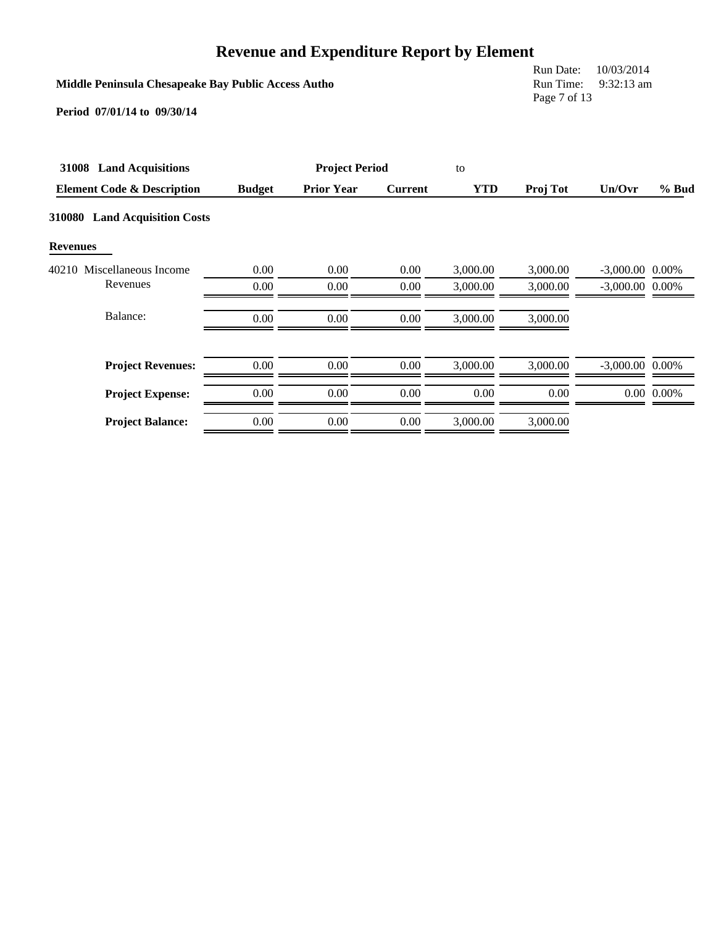|                                                                                    |                                        | <b>Revenue and Expenditure Report by Element</b> |                |            |          |                   |                |
|------------------------------------------------------------------------------------|----------------------------------------|--------------------------------------------------|----------------|------------|----------|-------------------|----------------|
| Middle Peninsula Chesapeake Bay Public Access Autho<br>Period 07/01/14 to 09/30/14 | Run Date:<br>Run Time:<br>Page 7 of 13 | 10/03/2014<br>$9:32:13$ am                       |                |            |          |                   |                |
| 31008 Land Acquisitions                                                            |                                        | <b>Project Period</b>                            |                | to         |          |                   |                |
| <b>Element Code &amp; Description</b>                                              | <b>Budget</b>                          | <b>Prior Year</b>                                | <b>Current</b> | <b>YTD</b> | Proj Tot | Un/Ovr            | % Bud          |
| 310080 Land Acquisition Costs                                                      |                                        |                                                  |                |            |          |                   |                |
| <b>Revenues</b>                                                                    |                                        |                                                  |                |            |          |                   |                |
| 40210 Miscellaneous Income                                                         | 0.00                                   | 0.00                                             | 0.00           | 3,000.00   | 3,000.00 | $-3,000.00$ 0.00% |                |
| Revenues                                                                           | 0.00                                   | 0.00                                             | 0.00           | 3,000.00   | 3,000.00 | $-3,000.00$ 0.00% |                |
| Balance:                                                                           | 0.00                                   | 0.00                                             | 0.00           | 3,000.00   | 3,000.00 |                   |                |
| <b>Project Revenues:</b>                                                           | 0.00                                   | 0.00                                             | 0.00           | 3,000.00   | 3,000.00 | $-3,000.00$ 0.00% |                |
| <b>Project Expense:</b>                                                            | $0.00\,$                               | 0.00                                             | 0.00           | 0.00       | 0.00     |                   | $0.00\ 0.00\%$ |
| <b>Project Balance:</b>                                                            | 0.00                                   | 0.00                                             | 0.00           | 3,000.00   | 3,000.00 |                   |                |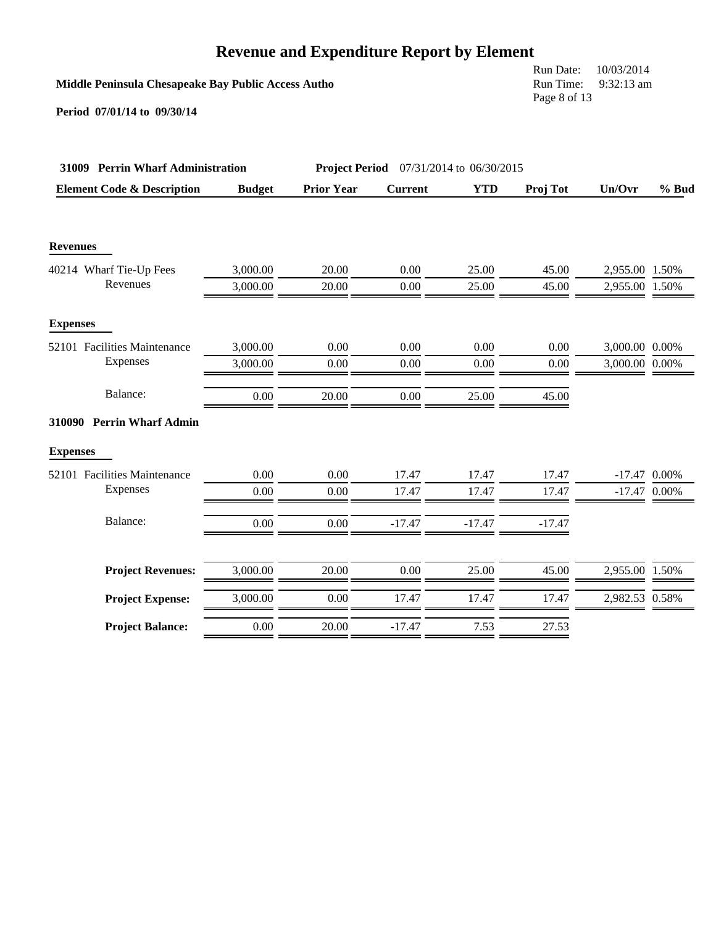### **Middle Peninsula Chesapeake Bay Public Access Autho**

Run Date: 10/03/2014 Run Time: 9:32:13 am Page 8 of 13

| 31009 Perrin Wharf Administration     |               |                   | <b>Project Period</b> 07/31/2014 to 06/30/2015 |            |          |                |         |
|---------------------------------------|---------------|-------------------|------------------------------------------------|------------|----------|----------------|---------|
| <b>Element Code &amp; Description</b> | <b>Budget</b> | <b>Prior Year</b> | <b>Current</b>                                 | <b>YTD</b> | Proj Tot | Un/Ovr         | $%$ Bud |
| <b>Revenues</b>                       |               |                   |                                                |            |          |                |         |
| 40214 Wharf Tie-Up Fees               | 3,000.00      | 20.00             | 0.00                                           | 25.00      | 45.00    | 2,955.00 1.50% |         |
| Revenues                              | 3,000.00      | 20.00             | 0.00                                           | 25.00      | 45.00    | 2,955.00 1.50% |         |
| <b>Expenses</b>                       |               |                   |                                                |            |          |                |         |
| 52101 Facilities Maintenance          | 3,000.00      | 0.00              | 0.00                                           | 0.00       | 0.00     | 3,000.00 0.00% |         |
| Expenses                              | 3,000.00      | 0.00              | 0.00                                           | 0.00       | 0.00     | 3,000.00 0.00% |         |
| Balance:                              | 0.00          | 20.00             | 0.00                                           | 25.00      | 45.00    |                |         |
| 310090 Perrin Wharf Admin             |               |                   |                                                |            |          |                |         |
| <b>Expenses</b>                       |               |                   |                                                |            |          |                |         |
| 52101 Facilities Maintenance          | 0.00          | 0.00              | 17.47                                          | 17.47      | 17.47    | $-17.47$ 0.00% |         |
| Expenses                              | 0.00          | 0.00              | 17.47                                          | 17.47      | 17.47    | $-17.47$ 0.00% |         |
| Balance:                              | 0.00          | 0.00              | $-17.47$                                       | $-17.47$   | $-17.47$ |                |         |
| <b>Project Revenues:</b>              | 3,000.00      | 20.00             | 0.00                                           | 25.00      | 45.00    | 2,955.00 1.50% |         |
| <b>Project Expense:</b>               | 3,000.00      | 0.00              | 17.47                                          | 17.47      | 17.47    | 2,982.53 0.58% |         |
| <b>Project Balance:</b>               | 0.00          | 20.00             | $-17.47$                                       | 7.53       | 27.53    |                |         |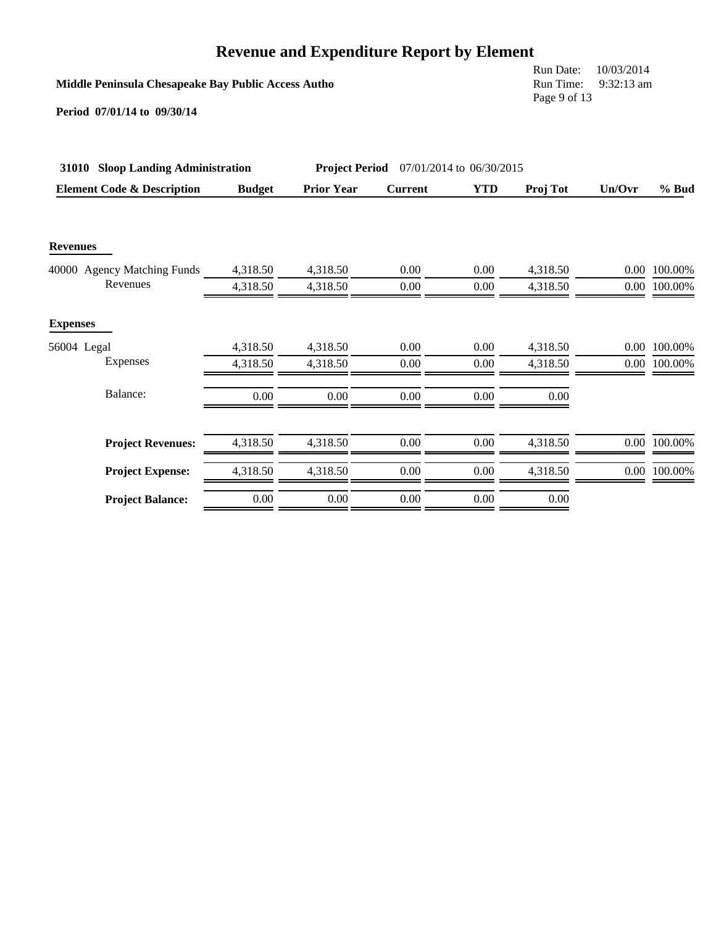### **Middle Peninsula Chesapeake Bay Public Access Autho**

Run Date: 10/03/2014 Run Time: 9:32:13 am Page 9 of 13

| 31010 Sloop Landing Administration    |               | <b>Project Period</b> | 07/01/2014 to 06/30/2015 |            |          |          |              |
|---------------------------------------|---------------|-----------------------|--------------------------|------------|----------|----------|--------------|
| <b>Element Code &amp; Description</b> | <b>Budget</b> | <b>Prior Year</b>     | <b>Current</b>           | <b>YTD</b> | Proj Tot | Un/Ovr   | $%$ Bud      |
| <b>Revenues</b>                       |               |                       |                          |            |          |          |              |
| 40000 Agency Matching Funds           | 4,318.50      | 4,318.50              | 0.00                     | 0.00       | 4,318.50 |          | 0.00 100.00% |
| Revenues                              | 4,318.50      | 4,318.50              | 0.00                     | 0.00       | 4,318.50 |          | 0.00 100.00% |
| <b>Expenses</b>                       |               |                       |                          |            |          |          |              |
| 56004 Legal                           | 4,318.50      | 4,318.50              | 0.00                     | 0.00       | 4,318.50 | $0.00\,$ | 100.00%      |
| Expenses                              | 4,318.50      | 4,318.50              | 0.00                     | 0.00       | 4,318.50 |          | 0.00 100.00% |
| Balance:                              | 0.00          | 0.00                  | 0.00                     | 0.00       | 0.00     |          |              |
| <b>Project Revenues:</b>              | 4,318.50      | 4,318.50              | 0.00                     | 0.00       | 4,318.50 |          | 0.00 100.00% |
| <b>Project Expense:</b>               | 4,318.50      | 4,318.50              | 0.00                     | 0.00       | 4,318.50 |          | 0.00 100.00% |
| <b>Project Balance:</b>               | 0.00          | 0.00                  | 0.00                     | 0.00       | 0.00     |          |              |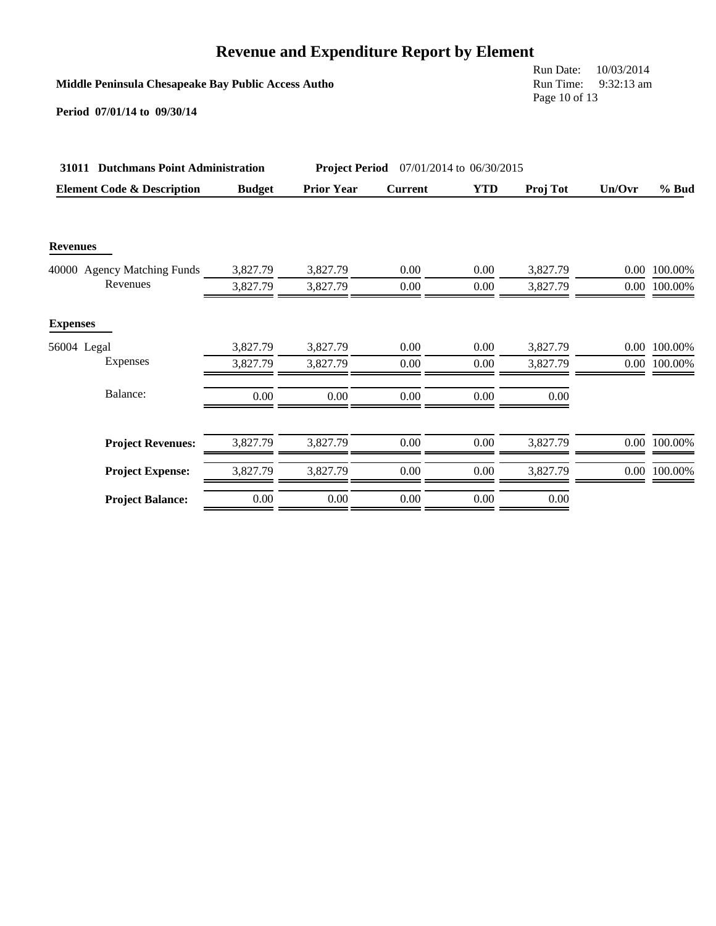**Middle Peninsula Chesapeake Bay Public Access Autho**

Run Date: 10/03/2014 Run Time: 9:32:13 am Page 10 of 13

| 31011 Dutchmans Point Administration  |               | <b>Project Period</b> | 07/01/2014 to 06/30/2015 |            |          |        |              |
|---------------------------------------|---------------|-----------------------|--------------------------|------------|----------|--------|--------------|
| <b>Element Code &amp; Description</b> | <b>Budget</b> | <b>Prior Year</b>     | <b>Current</b>           | <b>YTD</b> | Proj Tot | Un/Ovr | % Bud        |
|                                       |               |                       |                          |            |          |        |              |
| <b>Revenues</b>                       |               |                       |                          |            |          |        |              |
| 40000 Agency Matching Funds           | 3,827.79      | 3,827.79              | 0.00                     | 0.00       | 3,827.79 |        | 0.00 100.00% |
| Revenues                              | 3,827.79      | 3,827.79              | 0.00                     | 0.00       | 3,827.79 |        | 0.00 100.00% |
| <b>Expenses</b>                       |               |                       |                          |            |          |        |              |
| 56004 Legal                           | 3,827.79      | 3,827.79              | 0.00                     | 0.00       | 3,827.79 | 0.00   | 100.00%      |
| Expenses                              | 3,827.79      | 3,827.79              | 0.00                     | 0.00       | 3,827.79 |        | 0.00 100.00% |
| Balance:                              | 0.00          | 0.00                  | 0.00                     | 0.00       | 0.00     |        |              |
|                                       |               |                       |                          |            |          |        |              |
| <b>Project Revenues:</b>              | 3,827.79      | 3,827.79              | 0.00                     | 0.00       | 3,827.79 |        | 0.00 100.00% |
| <b>Project Expense:</b>               | 3,827.79      | 3,827.79              | 0.00                     | 0.00       | 3,827.79 |        | 0.00 100.00% |
| <b>Project Balance:</b>               | 0.00          | 0.00                  | 0.00                     | 0.00       | 0.00     |        |              |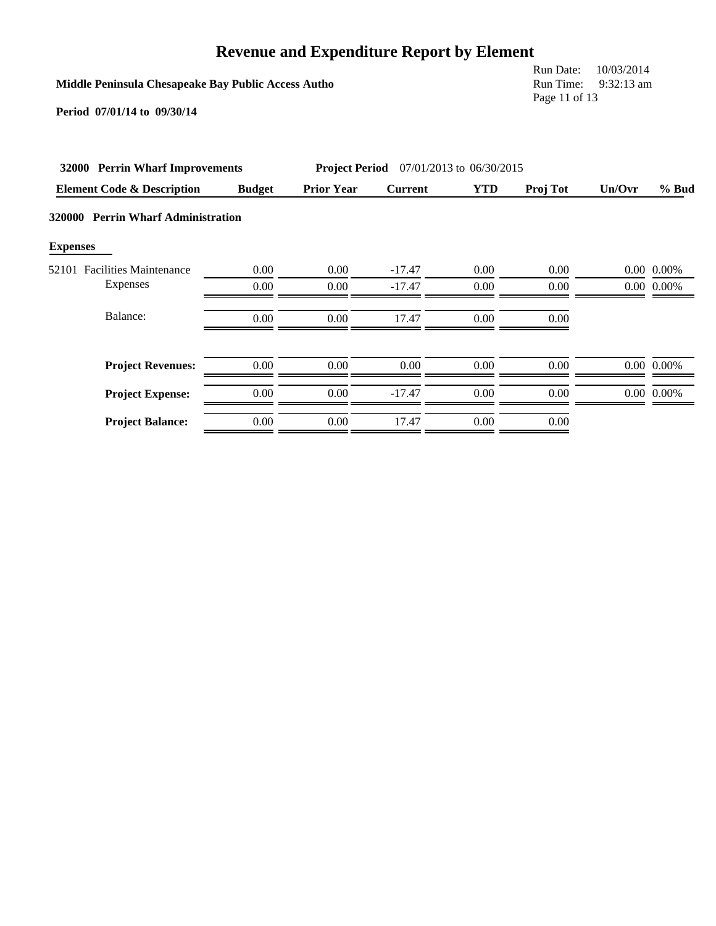### **Middle Peninsula Chesapeake Bay Public Access Autho**

Run Date: 10/03/2014 Run Time: 9:32:13 am Page 11 of 13

|                 | 32000 Perrin Wharf Improvements       |               | <b>Project Period</b> 07/01/2013 to 06/30/2015 |                |            |                 |          |                |
|-----------------|---------------------------------------|---------------|------------------------------------------------|----------------|------------|-----------------|----------|----------------|
|                 | <b>Element Code &amp; Description</b> | <b>Budget</b> | <b>Prior Year</b>                              | <b>Current</b> | <b>YTD</b> | <b>Proj Tot</b> | Un/Ovr   | $%$ Bud        |
|                 | 320000 Perrin Wharf Administration    |               |                                                |                |            |                 |          |                |
| <b>Expenses</b> |                                       |               |                                                |                |            |                 |          |                |
| 52101           | <b>Facilities Maintenance</b>         | 0.00          | 0.00                                           | $-17.47$       | 0.00       | 0.00            | $0.00\,$ | 0.00%          |
|                 | Expenses                              | 0.00          | 0.00                                           | $-17.47$       | 0.00       | 0.00            |          | $0.00\ 0.00\%$ |
|                 | Balance:                              | 0.00          | 0.00                                           | 17.47          | 0.00       | 0.00            |          |                |
|                 | <b>Project Revenues:</b>              | 0.00          | 0.00                                           | 0.00           | 0.00       | 0.00            |          | $0.00\ 0.00\%$ |
|                 | <b>Project Expense:</b>               | 0.00          | 0.00                                           | $-17.47$       | 0.00       | 0.00            |          | 0.00 0.00%     |
|                 | <b>Project Balance:</b>               | 0.00          | 0.00                                           | 17.47          | 0.00       | 0.00            |          |                |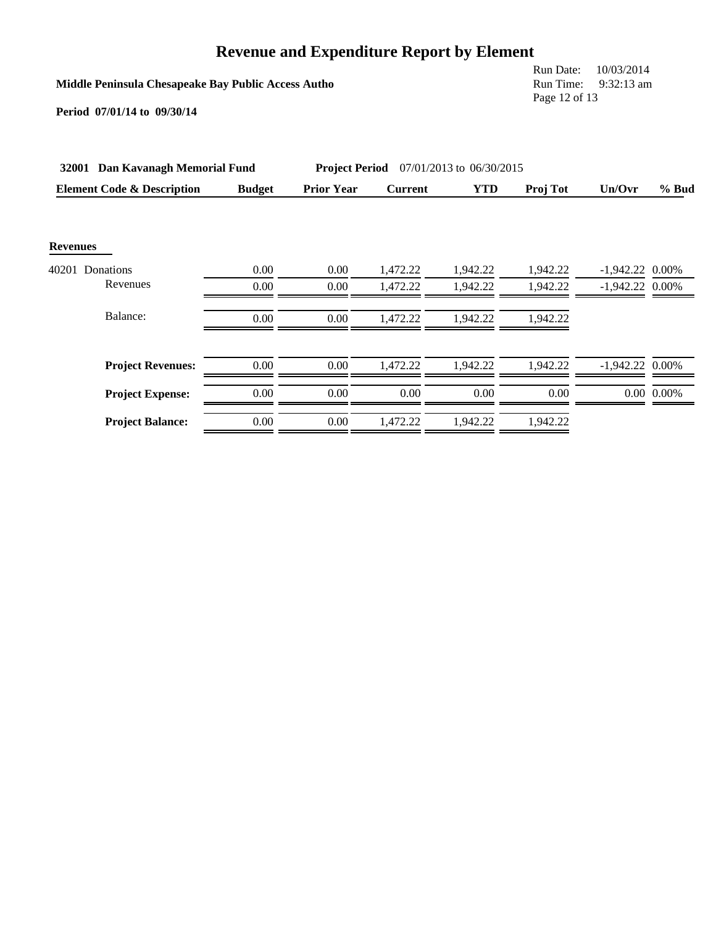**Middle Peninsula Chesapeake Bay Public Access Autho**

Run Date: 10/03/2014 Run Time: 9:32:13 am Page 12 of 13

| 32001 Dan Kavanagh Memorial Fund      |               | <b>Project Period</b> 07/01/2013 to 06/30/2015 |                |            |          |                   |                |
|---------------------------------------|---------------|------------------------------------------------|----------------|------------|----------|-------------------|----------------|
| <b>Element Code &amp; Description</b> | <b>Budget</b> | <b>Prior Year</b>                              | <b>Current</b> | <b>YTD</b> | Proj Tot | Un/Ovr            | $%$ Bud        |
| <b>Revenues</b>                       |               |                                                |                |            |          |                   |                |
| 40201 Donations                       | 0.00          | 0.00                                           | 1,472.22       | 1,942.22   | 1,942.22 | $-1,942.22$       | 0.00%          |
| Revenues                              | 0.00          | 0.00                                           | 1,472.22       | 1,942.22   | 1,942.22 | $-1,942.22$ 0.00% |                |
| Balance:                              | 0.00          | 0.00                                           | 1,472.22       | 1.942.22   | 1,942.22 |                   |                |
| <b>Project Revenues:</b>              | 0.00          | 0.00                                           | 1.472.22       | 1.942.22   | 1.942.22 | $-1,942.22$ 0.00% |                |
| <b>Project Expense:</b>               | 0.00          | 0.00                                           | 0.00           | 0.00       | 0.00     |                   | $0.00\ 0.00\%$ |
| <b>Project Balance:</b>               | 0.00          | 0.00                                           | 1,472.22       | 1,942.22   | 1,942.22 |                   |                |